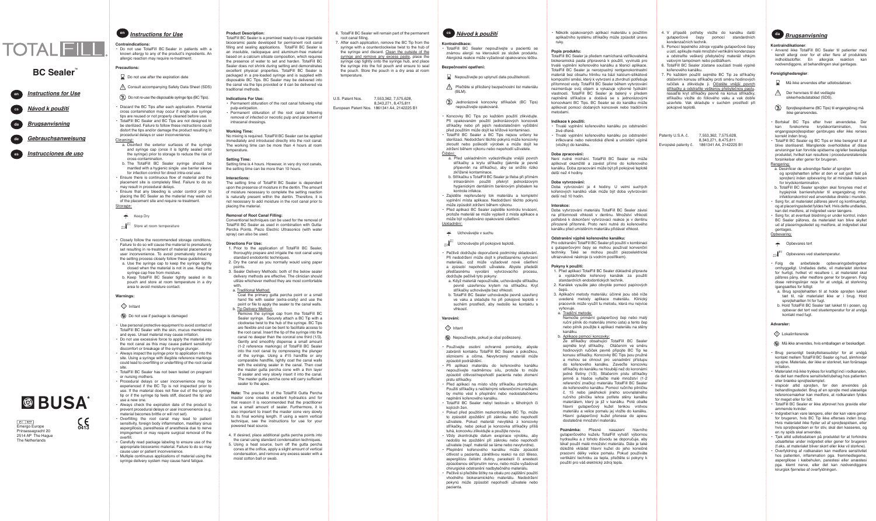## *Brugsanvisning*

## **Kontraindikationer**:

• Anvend ikke TotalFill BC Sealer til patienter med kendt allergi over for et eller flere af produktets indholdsstoffer. En allergisk reaktion kan nødvendiggøre, at behandlingen skal gentages.

## **Forsigtighedsregler**:

- Må ikke anvendes efter udløbsdatoen.
- **Der henvises til det vedlagte** kkerhedsdatablad (SDS).
- Sprøjtespidserne (BC Tips) til engangsbrug må ikke genanvendes.
- Bortskaf BC Tips efter hver anvendelse. Der kan forekomme krydskontamination, engangssprøjtespidser genbruges eller ikke renses korrekt inden brug.
- TotalFill BC Sealer og BC Tips er ikke beregnet til at blive steriliseret. Manglende overholdelse af disse anvisninger kan forvride spidserne og/eller beskadige produktet, hvilket kan resultere i procedurerelaterede forsinkelser eller gener for brugeren.

## Rengøring:

- a. Desinficer de udvendige flader af sprøjten og sprøjtehætten (efter at den er sat godt fast på sprøjten) inden opbevaring for at mindske risikoen for krydskontamination.
- b. TotalFill BC Sealer sprøjten skal forsynes med et hygiejnisk barrierehylster til engangsbrug mhp. infektionskontrol ved anvendelse direkte i munden.
- Sørg for, at materialet påføres jævnt og kontinuerligt, og at placeringsstedet fyldes helt. Hvis dette undlades, kan det medføre, at indgrebet varer længere.
- Sørg for, at eventuel blødning er under kontrol, inden BC Sealer påføres, da materialet kan blive skyllet ud af placeringsstedet og medføre, at indgrebet skal gentages.

## Opbevaring:

## Conhevares tørt

## $\frac{10^{10}C}{10^{10}C}$ <sup>25°C</sup> Opbevares ved stuetemperatur.

- Følg de anbefalede opbevaringsbetingelser omhyggeligt. Undlades dette, vil materialet størkne for hurtigt, hvilket vil resultere i, at materialet skal påføres påny, eller medføre gener for brugeren. Følg disse retningslinjer nøje for at undgå, at størkning igangsættes for tidligt:
- a. Brug sprøjtehætten til at holde sprøjten lukket tæt til, når materialet ikke er i brug. Hold sprøjtehætten fri for fugt.
- b. Hold TotalFill BC Sealer tæt lukket til i posen, og opbevar det tørt ved stuetemperatur for at undgå kontakt med fugt.

## **Advarsler:**

## $\bigcirc$ l okalirriterende

Setting time is 4 hours. However, in very dry root canals, the setting time can be more than 10 hours.

- Må ikke anvendes, hvis emballagen er beskadiget.
- Brug personligt beskyttelsesudstyr for at undgå kontakt mellem TotalFill BC Sealer og hud, slimhinder og øjne. Materiale, der ikke er størknet, kan forårsage irritation.
- Materialet må ikke trykkes for kraftigt ind i rodkanalen, da det kan medføre sensitivitet/ubehag hos patienten eller brække sprøjtestemplet.
- Inspicér altid sprøjten, før den anvendes på behandlingsstedet. Brug af en sprøjte med ulæselige referencemærker kan medføre, at rodkanalen fyldes for meget eller for lidt.
- TotalFill BC Sealer er ikke afprøvet hos gravide eller ammende kvinder.
- Indgrebet kan vare længere, eller der kan være gener for brugeren, hvis BC Tip ikke efterses inden brug. Hvis materialet ikke flyder ud af sprøjtespidsen, eller hvis sprøjtespidsen er for stiv, skal den kasseres, og en ny spids skal anvendes.
- Tjek altid udløbsdatoen på produktet for at forhindre udsættelse under indgrebet eller gener for brugeren (f.eks. at materialet bliver skørt eller ikke vil størkne).
- Overfyldning af rodkanalen kan medføre sensitivitet hos patienten, inflammation pga. fremmedlegeme, aspergillose i kæbehulen, parestesi eller anæstesi pga. klemt nerve, eller det kan nødvendiggøre kirurgisk fjernelse af overfyldningen.

## **Product Description:**

• Do not use TotalFill BC Sealer in patients with a known allergy to any of the product's ingredients. An allergic reaction may require re-treatment.

TotalFill BC Sealer is a premixed ready-to-use injectable bioceramic paste developed for permanent root canal filling and sealing applications. TotalFill BC Sealer is an insoluble, radiopaque and aluminum-free material based on a calcium silicate composition, which requires the presence of water to set and harden. TotalFill BC Sealer does not shrink during setting and demonstrates excellent physical properties. TotalFill BC Sealer is packaged in a pre-loaded syringe and is supplied with disposable BC Tips. BC Sealer may be delivered into the canal via the tips provided or it can be delivered via traditional methods.

## **Indications For Use:**

- Permanent obturation of the root canal following vital pulp-extirpation.
- Permanent obturation of the root canal following removal of infected or necrotic pulp and placement of intracanal dressings.

## **Working Time:**

No mixing is required. TotalFill BC Sealer can be applied immediately and introduced directly into the root canal. The working time can be more than 4 hours at room temperature.

## **Setting Time:**

## **Interactions:**

The setting time of TotalFill BC Sealer is dependent upon the presence of moisture in the dentin. The amount f moisture necessary to complete the setting reaction is naturally present within the dentin. Therefore, it is not necessary to add moisture in the root canal prior to placing the material.

## **Removal of Root Canal Filling:**

Conventional techniques can be used for the removal of TotalFill BC Sealer as used in combination with Gutta-Percha Points. Piezo Electric Ultrasonics (with water spray) can also be used.

### **Directions For Use:**

- 1. Prior to the application of TotalFill BC Sealer, thoroughly prepare and irrigate the root canal using standard endodontic techniques.
- 2. Dry the canal as you normally would using paper points.
- 3. Sealer Delivery Methods: both of the below sealer delivery methods are effective. The clinician should utilize whichever method they are most comfortable with.
- a. <u>Traditional Method:</u>
- Coat the primary gutta percha point or a small hand file with sealer (extra-orally) and use the point or file to apply the sealer to the canal walls.
- b. Tip Delivery Method: Remove the syringe cap from the TotalFill BC Sealer syringe. Securely attach a BC Tip with a clockwise twist to the hub of the syringe. BC Tips are flexible and can be bent to facilitate access to the root canal. Insert the tip of the syringe into the canal no deeper than the coronal one third (1/3). Gently and smoothly dispense a small amount (1-2 reference markings) of TotalFill BC Sealer into the root canal by compressing the plunger of the syringe. Using a #15 handfile or any comparable handfile, lightly coat the canal walls with the existing sealer in the canal. Then coat the master gutta percha cone with a thin layer of sealer and very slowly insert it into the canal. The master gutta percha cone will carry sufficient sealer to the apex.

**Note:** The precise fit of the TotalFill Gutta Percha master cone creates excellent hydraulics and for that reason it is recommended that the practitioner use a small amount of sealer. Furthermore, it is also important to insert the master cone very slowly to its final working length. If using a warm vertical technique, see the instructions for use for your powered heat source.

- 4. If desired, place additional gutta percha points into
- the canal using standard condensation techniques. 5. Using a heat source, burn off the gutta percha cones at the orifice, apply a slight amount of vertical condensation, and remove any excess sealer with a moist cotton ball or swab.

## *Instructions for Use*

 $\sum$  Do not use after the expiration date

**Contraindications:**

• Několik opakovaných aplikací materiálu s použitím aplikačního systému stříkačky může způsobit únavu ruky. en Instructions for Use **Entiment Constructions of the permanent** of the permanent of the permanent of the permanent in the substanting of the permanent of the permanent of the permanent of the permanent of the permanent o

**Precautions:**

Cleaning:

 Consult accompanying Safety Data Sheet (SDS)  $\circledR$  Do not re-use the disposable syringe tips (BC Tips). • Discard the BC Tips after each application. Potential cross contamination may occur if single use syringe tips are reused or not properly cleaned before use. • TotalFill BC Sealer and BC Tips are not designed to be sterilized. Failure to follow these instructions could distort the tips and/or damage the product resulting in

procedural delays or user inconvenience.

a. Disinfect the exterior surfaces of the syringe and syringe cap (once it is tightly sealed onto the syringe) prior to storage to reduce the risk of

> Doba vytvrzování materiálu TotalFill BC Sealer závisí na přítomnosti vlhkosti v dentinu. Množství vlhkosti potřebné k dokončení vytvrzovací reakce je v dentinu přirozeně přítomné. Proto není nutné do kořenového .<br>kanálku před umístěním materiálu přidávat vlhkost

cross-contamination.

b. The TotalFill BC Sealer syringe should be mantled with a hygienic single use barrier sleeve for infection control for direct intra-oral use. • Ensure there is continuous flow of material and the placement site is completely filled. Failure to do so

- 1. Před aplikací TotalFill BC Sealer důkladně připravte a vypláchněte kořenový kanálek za použití standardních endodontických technik.
- 2. Kanálek vysušte jako obvykle pomocí papírových čepů.
- 3. Aplikační metody materiálu: účinné jsou obě níže uvedené metody aplikace materiálu. Klinický pracovník může využít tu metodu, která mu nejvíce vyhovuje.
- a. Tradiční metoda:
- Namočte primární gutaperčový čep nebo malý ruční pilník do materiálu (mimo ústa) a tento čep nebo pilník použijte k aplikaci materiálu na stěny kanálku.
- b. Aplikace pomocí koncovky:

may result in procedural delays.

 $25^{\text{25}^{\text{25}^{\text{25}^{\text{25}^{\text{25}^{\text{25}^{\text{25}^{\text{25}^{\text{25}^{\text{25}^{\text{25}^{\text{25}^{\text{25}^{\text{25}^{\text{25}^{\text{25}^{\text{25}^{\text{25}^{\text{25}^{\text{25}^{\text{25}^{\text{25}^{\text{25}^{\text{25}^{\text{25}^{\text{25}^{\text{25}^{\text{25}^{\text{25}^{\text{25}^{\text{25}^$ 

• Ensure that any bleeding is under control prior to placing the BC Sealer as the material may wash out of the placement site and require re-treatment.

Storage:

• Closely follow the recommended storage conditions. Failure to do so will cause the material to prematurely set resulting in re-treatment of material placement or user inconvenience. To avoid prematurely inducing the setting process closely follow these guidelines: a. Use the syringe cap to keep the syringe tightly closed when the material is not in use. Keep the

syringe cap free from moisture.

b. Keep TotalFill BC Sealer tightly sealed in its pouch and store at room temperature in a dry

area to avoid moisture contact.

**Warnings:**

 $Keep$  Dry

## Do not use if package is damaged

EC REP<br>Emergo Europe Prinsessegracht 20 2514 AP The Hague The Netherlands



- Use personal protective equipment to avoid contact of TotalFill BC Sealer with the skin, mucus membranes and eyes. Unset material may cause irritation.
- Do not use excessive force to apply the material into the root canal as this may cause patient sensitivity/ discomfort or breakage of the syringe plunger.
- Always inspect the syringe prior to application into the site. Using a syringe with illegible reference markings could lead to overfilling or underfilling of the root canal site.
- TotalFill BC Sealer has not been tested on pregnant or nursing mothers.
- Procedural delays or user inconvenience may be experienced if the BC Tip is not inspected prior to use. If the material does not flow out of the syringe tip or if the syringe tip feels stiff, discard the tip and use a new one.
- Always check the expiration date of the product to prevent procedural delays or user inconvenience (e.g.
- Overfilling the root canal may lead to patient
- Carefully read package labeling to ensure use of the appropriate bioceramic material. Failure to do so may cause user or patient inconvenience.



- 
- material becomes brittle or will not set).
- sensitivity, foreign body inflammation, maxillary sinus aspergillosis, paresthesia of anesthesia due to nerve impingement or may require surgical removal of the
	-
- 

 $\Diamond$  Irritant

- - overfill.
	- Multiple continuous applications of material using the syringe delivery system may cause hand fatigue.
- 6. TotalFill BC Sealer will remain part of the permanent root canal filling.
- 7. After each application, remove the BC Tip from the syringe with a counterclockwise twist to the hub of the syringe and discard. Clean the outside of the syringe and remove any excess paste, place the syringe cap tightly onto the syringe hub, and place syringe into the foil pouch and ensure to seal the pouch. Store the pouch in a dry area at room temperature.

U.S. Patent Nos. 7,553,362, 7,575,628, 8,343,271, 8,475,811 European Patent Nos. 1861341 A4, 2142225 B1



## **Kontraindikace:**

• TotalFill BC Sealer nepoužívejte u pacientů se známou alergií na kteroukoli ze složek produktu. Alergická reakce může vyžadovat opakovanou léčbu.

## **Bezpečnostní opatření:**

- Nepoužívejte po uplynutí data použitelnosti.
- Přečtěte si přiložený bezpečnostní list materiálu (BLM).

 Jednorázové koncovky stříkaček (BC Tips) nepoužívejte opakovaně.

- Koncovky BC Tips po každém použití zlikvidujte. Při opakovaném použití jednorázových koncovek stříkačky nebo při jejich nedostatečném vyčištění před použitím může dojít ke křížové kontaminaci. • TotalFill BC Sealer a BC Tips nejsou určeny ke sterilizaci. Nedodržení těchto pokynů může koncovky zkroutit nebo poškodit výrobek a může dojít ke zdržení během výkonu nebo nepohodlí uživatele. Čištění:
- a. Před uskladněním vydezinfikujte vnější povrch stříkačky a krytu stříkačky (jakmile je pevně připevněn na stříkačku), aby se snížilo riziko zkřížené kontaminace. b. Stříkačku s TotalFill BC Sealer je třeba při přímém
- intraorálním použití překrýt jednorázovým hygienickým dentálním bariérovým přebalem ke kontrole infekce.
- Zajistěte nepřerušený tok materiálu a kompletní vyplnění místa aplikace. Nedodržení těchto pokynů může způsobit zdržení během výkonu. • Před aplikací BC Sealer zajistěte kontrolu krvácení,
- protože materiál se může vyplavit z místa aplikace a může být vyžadováno opakované ošetření. Uskladnění:
- Uchovávejte v suchu
- $\sum_{\substack{10^{\circ}\in\mathcal{P} \\ 50^{\circ}\in\mathcal{P}}} \mathbb{Z}^{25^{\circ}\in\mathcal{P}}$ Uchovávejte při pokojové teplotě.
- Pečlivě dodržujte doporučené podmínky skladování. Při nedodržení může dojít k předčasnému vytvrzení materiálu, což může vyžadovat nové ošetření a způsobí nepohodlí uživatele. Abyste předešli předčasnému vyvolání vytvrzovacího procesu, dodržujte pečlivě tyto pokyny:
- pevně uzavřenou krytem na stříkačku. Kryt stříkačky uchovávejte bez vlhkosti. b. TotalFill BC Sealer uchovávejte pevně uzavřený
- ve vaku a skladujte ho při pokojové teplotě v suchém prostředí, aby nedošlo ke kontaktu s vlhkostí.
- 
- 
- 
- 
- 
- 
- 
- 
- 
- 
- 
- a. Když materiál nepoužíváte, uchovávejte stříkačku
	-
	-
	-
	-
	-
	-
	-
	-
	-

## **Varování:**

## $\Diamond$  Iritant

- Nepoužívejte, pokud je obal poškozený.
- Používejte osobní ochranné pomůcky, abyste zabránili kontaktu TotalFill BC Sealer s pokožkou, sliznicemi a očima. Nevytvrzený materiál může způsobit podráždění.
- Při aplikaci materiálu do kořenového kanálku nepoužívejte nadměrnou sílu, protože to může způsobit citlivost/nepohodlí pacienta nebo zlomení pístu stříkačky.
- Před aplikací na místo vždy stříkačku zkontrolujte. Použití stříkačky s nečitelnými referenčními značkami by mohlo vést k přeplnění nebo nedostatečnému naplnění kořenového kanálku. • TotalFill BC Sealer nebyl testován u těhotných či
- kojících žen. • Pokud před použitím nezkontrolujete BC Tip, může to způsobit zpoždění při zákroku nebo nepohodlí
- uživatele. Pokud materiál nevytéká z koncovky stříkačky, nebo pokud je koncovka stříkačky příliš tuhá, koncovku zlikvidujte a použijte novou. • Vždy zkontrolujte datum exspirace výrobku, aby
- nedošlo ke zpoždění při zákroku nebo nepohodlí uživatele (např. materiál se láme nebo nevytvrdne). • Přeplnění kořenového kanálku může způsobit citlivost u pacienta, zánětlivou reakci na cizí těleso, aspergilózu čelistní dutiny, parastezii či anestezii způsobenou skřípnutím nervu, nebo může vyžadovat chirurgické odstranění nadbytečného materiálu.
- Pečlivě si přečtěte štítky na obalu pro zajištění použití vhodného biokeramického materiálu. Nedodržení pokynů může způsobit nepohodlí uživatele nebo pacienta.

## **Popis produktu:**

TotalFill BC Sealer je předem namíchaná vstřikovatelná biokeramická pasta připravená k použití, vyvinutá pro trvalé vyplnění kořenového kanálku a těsnicí aplikace. TotalFill BC Sealer je nerozpustný rentgenokontrastní materiál bez obsahu hliníku na bázi kalcium-silikátové kompozitní směsi, který k vytvrzení a ztvrdnutí potřebuje přítomnost vody. TotalFill BC Sealer během vytvrzování nezmenšuje svůj objem a vykazuje výborné fyzikální vlastnosti. TotalFill BC Sealer je balený v předem naplněné stříkačce a dodává se s jednorázovými koncovkami BC Tips. BC Sealer se do kanálku může aplikovat pomocí dodaných koncovek nebo tradičními metodami.

## **Indikace k použití:**

- Trvalé vyplnění kořenového kanálku po odstranění živé dřeně.
- Trvalé vyplnění kořenového kanálku po odstranění infikované nebo nekrotické dřeně a umístění výplně (vložky) do kanálku.

## **Doba zpracování:**

Není nutné míchání. TotalFill BC Sealer se může aplikovat okamžitě a zavést přímo do kořenového kanálku. Doba zpracování může být při pokojové teplotě delší než 4 hodiny.

## **Doba vytvrzování:**

Doba vytvrzování je 4 hodiny. U velmi suchých kořenových kanálků však může být doba vytvrzování delší než 10 hodin.

### **Interakce:**

## **Odstranění výplně kořenového kanálku:**

Pro odstranění TotalFill BC Sealer při použití v kombinaci s gutaperčovými čepy se mohou používat konvenční techniky. Také se mohou použít piezoelektrické ultrazvukové nástroje (s vodním postřikem).

## **Pokyny k použití:**

Ze stříkačky obsahující TotalFill BC Sealer sejměte kryt stříkačky. Otáčením ve směru hodinových ručiček pevně připojte BC Tip ke konusu stříkačky. Koncovky BC Tips jsou pružné a mohou se ohnout pro usnadnění přístupu do kořenového kanálku. Zaveďte koncovku stříkačky do kanálku ne hlouběji než do koronární jedné třetiny (1/3). Stlačením pístu stříkačky jemně a hladce vytlačte malé množství (1-2 referenční značky) materiálu TotalFill BC Sealer do kořenového kanálku. Pomocí ručního pilníčku č. 15 nebo jakéhokoli jiného srovnatelného ručního pilníčku lehce potřete stěny kanálku materiálem, který je již v kanálku. Poté obalte hlavní gutaperčový kužel tenkou vrstvou materiálu a velice pomalu jej vložte do kanálku. Hlavní gutaperčový kužel přenese do apexu dostatečné množství materiálu.

**Poznámka:** Přesné nasazení hlavního gutaperčového kuželu TotalFill vytváří výbornou hydrauliku a z tohoto důvodu se doporučuje, aby lékař použil malé množství materiálu. Dále je také důležité vkládat hlavní kužel do jeho konečné pracovní délky velice pomalu. Pokud používáte vertikální techniku za tepla, přečtěte si pokyny k použití pro váš elektrický zdroj tepla.

- gutaperčové čepy pomocí standardních kondenzačních technik.
- 5. Pomocí tepelného zdroje vypalte gutaperčové čepy u ústí, aplikujte malé množství vertikální kondenzace a odstraňte veškerý přebytečný materiál vlhkým vatovým tampónem nebo polštářkem.
- 6. TotalFill BC Sealer zůstane součástí trvalé výplně kořenového kanálku.
- 7. Po každém použití sejměte BC Tip ze stříkačky otáčením konusu stříkačky proti směru hodinových ručiček a zlikvidujte ji. Očistěte vnější povrch stříkačky a odstraňte veškerou přebytečnou pastu, nasaďte kryt stříkačky pevně na konus stříkačky, stříkačku vložte do fóliového vaku a vak dobře uzavřete. Vak skladujte v suchém prostředí při pokojové teplotě.

8,343,271, 8,475,811

Patenty U.S.A. č. 7,553,362, 7,575,628, Evropské patenty č. 1861341 A4, 2142225 B1

## *Instructions for Use* en

**Návod k použití** cs

#### *Brugsanvisning* da

- *Gebrauchsanweisung* de
- *Instrucciones de uso* es



## **BC Sealer**

0413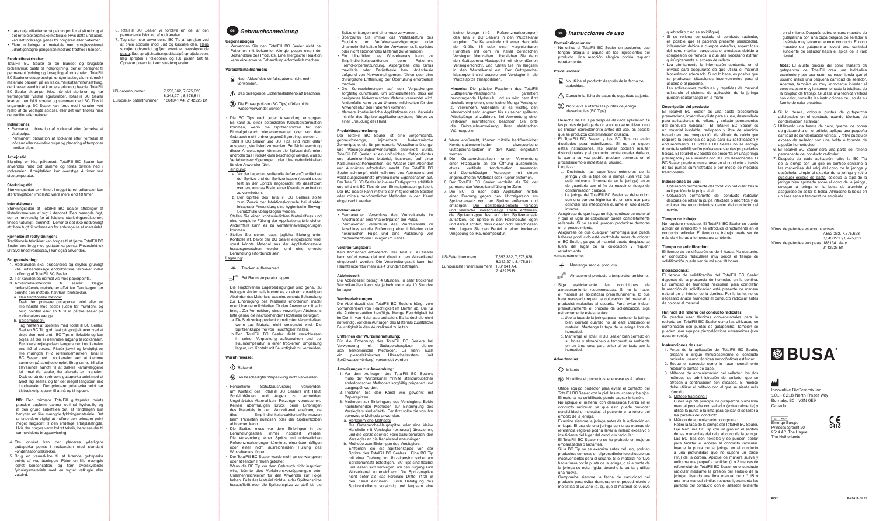• Læs nøje etiketterne på pakningen for at sikre brug af det rette biokeramiske materiale. Hvis dette undlades, kan det forårsage gener for brugeren eller patienten. Flere indføringer af materiale med sprøjtesystemet udført gentagne gange kan medføre træthed i hånden.

## **Produktbeskrivelse:**

TotalFill BC Sealer er en blandet og brugsklar biokeramisk pasta til indsprøjtning, der er beregnet til permanent fyldning og forsegling af rodkanaler. TotalFill BC Sealer er et uopløseligt, røntgenfast og aluminiumsfrit materiale baseret på en kalciumsilikatsammensætning, der kræver vand for at kunne størkne og hærde. TotalFill BC Sealer skrumper ikke, når det størkner, og har fremragende fysiske egenskaber. TotalFill BC Sealer leveres i en fyldt sprøjte og sammen med BC Tips til engangsbrug. BC Sealer kan føres ned i kanalen ved hjælp af de vedlagte spidser, eller det kan tilføres med de traditionelle metoder.

Størkningstiden er 4 timer. I meget tørre rodkanaler kan størkningstiden imidlertid være mere end 10 time

Størkningstiden af TotalFill BC Sealer afhænger af tilstedeværelsen af fugt i dentinet. Den mængde fugt, der er nødvendig for at fuldføre størkningsreaktionen, findes naturligt i dentinet. Derfor er det ikke nødvendigt at tilføre fugt til rodkanalen før anbringelse af materiale

### **Indikationer:**

- Permanent obturation af rodkanal efter fjernelse af vital pulpa.
- Permanent obturation af rodkanal efter fiernelse af inficeret eller nekrotisk pulpa og placering af tamponer i rodkanalen.

## **Arbejdstid:**

Blanding er ikke påkrævet. TotalFill BC Sealer kan anvendes med det samme og føres direkte ned i rodkanalen. Arbejdstiden kan overstige 4 timer ved stuetemperatur.

### **Størkningstid:**

## **Interaktioner:**

## **Fjernelse af rodfyldningen:**

- 4. Om ønsket kan der placeres yderligere guttaperka points i rodkanalen med standard kondensationsteknikker.
- 5. Brug en varmekilde til at brænde guttaperka points af ved åbningen. Påfør en lille mængde lodret kondensation, og fjern overskydende fyldningsmateriale med en fugtet vatkugle eller vatnind

Traditionelle teknikker kan bruges til at fjerne TotalFill BC Sealer ved brug med guttaperka points. Piezoelektrisk ultralyd (med vandspray) kan også anvendes.

#### **Brugsanvisning:**

- 1. Rodkanalen skal præpareres og skylles grundigt vha. rutinemæssige endodontiske teknikker inden indføring af TotalFill BC Sealer.
- 2. Tør kanalen på normal vis med paperpoints. 3. Anvendelsesmetoder til sealer: Begge nedenstående metoder er effektive. Tandlægen bør benytte den metode, han/hun foretrækker.
- a. Den traditionelle metode:
- Dæk den primære guttaperka point eller en lille håndfil med sealer (uden for munden), og brug pointen eller en fil til at påføre sealer på rodkanalens vægge.

Der TotalFill BC Sealer ist eine vorgemischte, gebrauchsfertige, injizierbare biokeramische Zementpaste, die für permanente Wurzelkanalfüllungsund Versiegelungsanwendungen entwickelt wurde. TotalFill BC Sealer ist ein unlösliches, röntgendichtes und aluminiumfreies Material, basierend auf einer Kalziumsilikat-Komposition, die Wasser zum Abbinden und Aushärten erforderlich macht. Der TotalFill BC Sealer schrumpft nicht während des Abbindens und weist ausgezeichnete physikalische Eigenschaften auf. Der TotalFill BC Sealer ist in einer Fertigspritze erhältlich und wird mit BC Tips für den Einmalgebrauch geliefert. Der BC Sealer kann mithilfe der mitgelieferten Spitzen oder mittels herkömmlicher Methoden in den Kanal eingebracht werder

## b. Spidsmetoden:

Tag hætten af sprøjten med TotalFill BC Sealer. Sæt en BC Tip godt fast på sprøjtekraven ved at dreje den med uret. BC Tips er fleksible og kan bøjes, så der er nemmere adgang til rodkanalen. Før ikke sprøjtespidsen længere ned i rodkanalen end 1/3 af corona. Placér jævnt og forsigtigt en lille mængde (1-2 referencemærker) TotalFill BC Sealer ned i rodkanalen ved at klemme sammen på sprøjtestemplet. Brug en nr. 15 eller tilsvarende håndfil til at dække kanalvæggene let med det sealer, der allerede er i kanalen. Dæk derpå den primære guttaperka point med et tyndt lag sealer, og før det meget langsomt ned i rodkanalen. Den primære guttaperka point har tilstrækkeligt sealer til at nå op til toppen.

**NB:** Den primære TotalFill guttaperka points præcise pasform danner optimal hydraulik, og af den grund anbefales det, at tandlægen kun benytter en lille mængde fyldningsmateriale. Det er endvidere vigtigt at indføre den primære point meget langsomt til den endelige arbejdslængde. Hvis der bruges varm lodret teknik, henvises der til varmekildens brugsanvisning.

Spitze entsorgen und eine neue verwenden.

- Die Guttapercha-Hauptspitze oder eine kleine Handfeile mit Versiegler (extraoral) überziehen, und die Spitze oder die Feile dazu benutzen, den Versiegler an die Kanalwand anzubringen.
- b. Methode zum Einbringen des Versieglers: Entfernen Sie die Spritzenkappe von der Spritze des TotalFill BC Sealers. Eine BC Tip mit einer Drehung im Uhrzeigersinn sicher am
- Spritzenansatz befestigen. BC Tips sind flexibel und lassen sich verbiegen, um den Zugang zum Wurzelkanal zu erleichtern. Die Spritzenspitze nicht tiefer als das koronale Drittel (1/3) in den Kanal einführen. Durch Betätigung des Spritzenkolbens vorsichtig und langsam eine

de **Gebrauchsanweisung** eine Spitze entsorgen und eine neue verwenden.<br>
Spitze entsorgen und eine neue verwenden. Die Externe Menge (1-2 Referenzmarkierungen) es **Instrucciones de uso** des TotalFill BC Sealers in den Wurzelkana abgeben. Die Kanalwände mit einer Handfeile der Größe 15 oder einer vergleichbaren Handfeile mit dem im Kanal befindlichen Versiegler überziehen. Überziehen Sie dann den Guttapercha-Masterpoint mit einer dünnen Versieglerschicht, und führen Sie ihn langsam in den Wurzelkanal ein. Der Guttapercha-Masterpoint wird ausreichend Versiegler in die Wurzelspitze transportieren.

- Überprüfen Sie immer das Verfallsdatum des Produkts, um Verfahrensverzögerungen oder Unannehmlichkeiten für den Anwender (z.B. sprödes oder nicht abbindendes Material) zu vermeiden. • Ein Überfüllen des Wurzelkanals kann zu
- Empfindlichkeitsreaktionen beim Patienten, Fremdkörperentzündung, Aspergillose des Sinus maxillaris oder Parästhesie bzw. Anästhesie aufgrund von Nervenimpingement führen oder eine chirurgische Entfernung der Überfüllung erforderlich machen.
- Die Kennzeichnungen auf den Verpackungen sorgfältig durchlesen, um sicherzustellen, dass ein geeignetes biokeramisches Material verwendet wird. Andernfalls kann es zu Unannehmlichkeiten für den Anwender/für den Patienten kommen.
- Mehrere kontinuierliche Applikationen des Materials mithilfe des Spritzenapplikationssystems führen zu einer Ermüdung der Hand.

### **Produktbeschreibung:**

## **Indikationen:**

- Permanenter Verschluss des Wurzelkanals im Anschluss an eine Vitalextirpation der Pulpa.
- Permanenter Verschluss des Wurzelkanals im Anschluss an die Entfernung einer infizierten oder nekrotischen Pulpa und eine Platzierung von medikamentösen Einlagen im Kanal.

## **Verarbeitungszeit:**

Kein Anmischen erforderlich. Der TotalFill BC Sealer kann sofort verwendet und direkt in den Wurzelkanal eingebracht werden. Die Verarbeitungszeit kann bei Raumtemperatur mehr als 4 Stunden betragen.

### **Abbindezeit:**

Die Abbindezeit beträgt 4 Stunden. In sehr trockenen Wurzelkanälen kann sie jedoch mehr als 10 Stunden betragen.

### **Wechselwirkungen:**

Die Abbindezeit des TotalFill BC Sealers hängt vom Vorhandensein von Feuchtigkeit im Dentin ab. Die für die Abbindereaktion benötigte Menge Feuchtigkeit ist im Dentin von Natur aus enthalten. Es ist deshalb nicht notwendig, vor dem Auftragen des Materials zusätzliche Feuchtigkeit in den Wurzelkanal zu leiten.

## **Entfernen der Wurzelkanalfüllung:**

Für die Entfernung des TotalFill BC Sealers bei Verwendung mit Guttaperchaspitzen eignen sich herkömmliche Methoden. Es kann auch ein piezoelektrisches Ultraschallsystem (mit Sprühwasserkühlung) verwendet werden.

#### **Anweisungen zur Anwendung:**

- **Nach Ablauf des Verfallsdatums nicht mehr** erwenden
- $\bigwedge$  Das beiliegende Sicherheitsdatenblatt beachten.
- Die Einwegspitzen (BC Tips) dürfen nicht wiederverwendet werden.
- Die BC Tips nach jeder Anwendung entsorgen. Es kann zu einer potenziellen Kreuzkontamination kommen, wenn die Spritzenspitzen für den Einmalgebrauch wiederverwendet oder vor dem Gebrauch nicht ordnungsgemäß gereinigt werden.
- TotalFill BC Sealer und BC Tips sind nicht dafür ausgelegt, sterilisiert zu werden. Bei Nichtbeachtung dieser Anweisungen könnten die Spitzen deformiert und/oder das Produkt kann beschädigt werden, was zu Verfahrensverzögerungen oder Unannehmlichkeiten für den Anwender führt. Reinigung**:**
- <u>amigeng</u>.<br>a. Vor der Lagerung sollten die äußeren Oberflächen der Spritze und der Spritzenkappe (sobald diese fest an der Spritze angebracht ist) desinfiziert werden, um das Risiko einer Kreuzkontamination zu vermindern.
- b. Der Spritze des TotalFill BC Sealers sollte zum Zweck der Infektionskontrolle bei direkter intraoraler Anwendung eine hygienische Einweg-Schutzhülle übergezogen werden.
- Stellen Sie einen kontinuierlichen Materialfluss und eine komplette Füllung der Applikationsstelle sicher. Andernfalls kann es zu Verfahrensverzögerungen kommen.
- Stellen Sie sicher, dass jegliche Blutung unter Kontrolle ist, bevor der BC Sealer eingebracht wird, sonst könnte Material aus der Applikationsstelle herausgewaschen werden und eine erneute Behandlung erforderlich sein.

- 1. Vor dem Auftragen des TotalFill BC Sealers muss der Wurzelkanal mithilfe standardüblicher endodontischer Methoden sorgfältig präpariert und ausgespült werden.
- 2. Trocknen Sie den Kanal wie gewohnt mit Papierspitzen.
- 3. Methoden zur Einbringung des Versieglers: Beide nachstehenden Methoden zur Einbringung des Versieglers sind effektiv. Der Arzt sollte die von ihm bevorzugte Methode anwenden.

### a. Herkömmliche Methode:

- **Trocken aufbewahren**
- <sup>25°</sup><sup>5°</sub>°C Bei Raumtemperatur lagern.</sup> 50°F
- Die empfohlenen Lagerbedingungen sind genau zu befolgen. Andernfalls kommt es zu einem vorzeitigen Abbinden des Materials, was eine erneute Behandlung zur Einbringung des Materials erforderlich macht oder Unannehmlichkeiten für den Anwender mit sich bringt. Zur Vermeidung eines vorzeitigen Abbindens bitte genau die nachstehenden Richtlinien befolgen: a. Die Spritzenkappe dient zum dichten Verschließen,
- wenn das Material nicht verwendet wird. Die Spritzenkappe frei von Feuchtigkeit halten. b. Den TotalFill BC Sealer dicht verschlossen in seiner Verpackung aufbewahren und bei
- Raumtemperatur in einer trockenen Umgebung lagern, um Kontakt mit Feuchtigkeit zu vermeiden.

• No utilice el TotalFill BC Sealer en pacientes que tengan alergia a alguno de los ingredientes del producto. Una reacción alérgica podría requerir .<br>rotratamiento

- quebradizo o no se solidifique).
- Si se rellena demasiado el conducto radicular es posible que el paciente presente sensibilidad, inflamación debida a cuerpos extraños, aspergilosis del seno maxilar, parestesia o anestesia debido a compresión de nervios, o que sea necesario extraer quirúrgicamente el exceso de relleno.
- Lea atentamente la información contenida en el envase para asegurarse de que utiliza el material biocerámico adecuado. Si no lo hace, es posible que se produzcan situaciones inconvenientes para el usuario o el paciente.
- Las aplicaciones continuas y repetidas de material utilizando el sistema de aplicación de la jeringa pueden causar fatiga en la mano.

## **Descripción del producto:**

El TotalFill BC Sealer es una pasta biocerámica premezclada, inyectable y lista para su uso, desarrollada para aplicaciones de relleno y sellado permanentes del conducto radicular. El TotalFill BC Sealer es un material insoluble, radiopaco y libre de aluminio basado en una composición de silicato de calcio que requiere la presencia de agua para su solidificación y endurecimiento. El TotalFill BC Sealer no se encoge durante la solidificación y ofrece excelentes propiedades físicas. El TotalFill BC Sealer se presenta en una jeringa precargada y se suministra con BC Tips desechables. El BC Sealer puede administrarse en el conducto a través de las puntas suministradas o por medio de métodos tradicionales.

- No utilice el producto después de la fecha de caducidad.
- Consulte la ficha de datos de seguridad adjunta.
- $\circledR$  No vuelva a utilizar las puntas de jeringa echables (BC Tips
- Deseche las BC Tips después de cada aplicación. Si las puntas de jeringa de un solo uso se reutilizan o no se limpian correctamente antes del uso, es posible que se produzca contaminación cruzada.
- El TotalFill BC Sealer y las BC Tips no están diseñados para esterilizarse. Si no se siguen estas instrucciones, las puntas podrían resultar distorsionadas y el producto podría quedar dañado, lo que a su vez podría producir demoras en el procedimiento o molestias al usuario.
- Limpieza:
- a. Desinfecte las superficies exteriores de la jeringa y de la tapa de la jeringa (una vez que esté colocada firmemente en la jeringa) antes de guardarla con el fin de reducir el riesgo de contaminación cruzada.
- b. La jeringa del TotalFill BC Sealer se debe cubrir con una barrera higiénica de un solo uso para controlar las infecciones durante el uso directo intraoral.
- Asegúrese de que haya un flujo continuo de material y que el lugar de colocación quede completamente rellenado. Si no es así, pueden producirse demoras en el procedimiento.
- Asegúrese de que cualquier hemorragia que pueda haberse producido esté controlada antes de colocar el BC Sealer, ya que el material puede desplazarse fuera del lugar de la colocación y requerir retratamiento. Almacenamiento:
- Mantenga seco el producto.
- $\frac{10^{10}}{10^{10}}$ <sup>25°C</sup> Almacene el producto a temperatur ambiente.
- Siga estrictamente las condiciones de almacenamiento recomendadas. Si no lo hace, el material se solidificará prematuramente, lo que hará necesario repetir la colocación del material o producirá molestias al usuario. Para evitar inducir prematuramente el proceso de solidificación, siga estrechamente estas pautas:
- a. Use la tapa de la jeringa para mantener la jeringa bien cerrada cuando no se esté utilizando el material. Mantenga la tapa de la jeringa libre de humedad.
- b. Mantenga el TotalFill BC Sealer bien cerrado en su bolsa y almacénelo a temperatura ambiente en un área seca para evitar el contacto con la humedad.

## **Indicaciones de uso:**

- Obturación permanente del conducto radicular tras la extirpación de la pulpa vital.
- Obturación permanente del conducto radicular después de retirar la pulpa infectada o necrótica y de colocar los recubrimientos dentro del conducto del nervio.

### **Tiempo de trabajo**:

No requiere mezclado. El TotalFill BC Sealer se puede aplicar de inmediato y se introduce directamente en el conducto radicular. El tiempo de trabajo puede ser de más de 4 horas a temperatura ambiente.

**Hinweis:** Die präzise Passform des TotalFill Guttapercha-Masterpoints garantiert hervorragende Hydraulik, und es wird dem Arzt deshalb empfohlen, eine kleine Menge Versiegler zu verwenden. Außerdem ist es wichtig, den Masterpoint sehr langsam bis zu seiner späteren Arbeitslänge einzuführen. Bei Anwendung einer vertikalen Warmtechnik beachten Sie bitte die Gebrauchsanweisung Ihrer elektrischen Wärmequelle.

## **Tiempo de solidificación:**

El tiempo de solidificación es de 4 horas. No obstante, en conductos radiculares muy secos el tiempo de solidificación puede ser de más de 10 horas.

## **Interacciones:**

El tiempo de solidificación del TotalFill BC Sealer depende de la presencia de humedad en la dentina. La cantidad de humedad necesaria para completar la reacción de solidificación está presente de manera natural en el interior de la dentina. Por lo tanto, no es necesario añadir humedad al conducto radicular antes de colocar el material.

## **Retirada del relleno del conducto radicular:**

Se pueden usar técnicas convencionales para la retirada del TotalFill BC Sealer como las utilizadas en combinación con puntas de gutapercha. También se pueden usar equipos piezoeléctricos ultrasónicos (con agua en rocío).

### **Instrucciones de uso:**

- 1. Antes de la aplicación del TotalFill BC Sealer, prepare e irrigue minuciosamente el conducto radicular usando técnicas endodónticas estándar.
- 2. Seque el conducto como lo hace normalmente mediante puntas de papel.
- 3. Métodos de administración del sellador: los dos métodos de administración del sellador que se ofrecen a continuación son eficaces. El médico debe utilizar el método con el que se sienta más cómodo.
- a. Método tradicional:

Cubra la punta principal de gutapercha o una lima manual pequeña con sellador (extraoralmente) y utilice la punta o la lima para aplicar el sellador a las paredes del conducto.

- b. Método de administración con punta:
- Retire la tapa de la jeringa del TotalFill BC Sealer. Fije bien una BC Tip con un giro en el sentido de las manecillas del reloj al cono de la jeringa. Las BC Tips son flexibles y se pueden doblar para facilitar el acceso al conducto radicular. Inserte la punta de la jeringa en el conducto a una profundidad que no supere un tercio (1/3) de la corona. Aplique de manera suave y uniforme una pequeña cantidad (1 o 2 marcas de referencia) del TotalFill BC Sealer en el conducto radicular mediante la presión del émbolo de la jeringa. Usando una lima manual del n.° 15 o una lima manual similar, recubra ligeramente las paredes del conducto con el sellador existente

EC REP Emergo Europe Prinsessegracht 20 2514 AP The Hague The Netherlands

## *Gebrauchsanweisung*

**Gegenanzeigen:** • Verwenden Sie den TotalFill BC Sealer nicht bei Patienten mit bekannter Allergie gegen einen der Bestandteile des Produkts. Eine allergische Reaktion kann eine erneute Behandlung erforderlich machen.

#### **Vorsichtsmaßnahmen:**

## Lagerung**:**

## **Warnhinweise:**

## Reizend

## Bei beschädigter Verpackung nicht verwenden.

- Persönliche Schutzausrüstung verwenden, um Kontakt des TotalFill BC Sealers mit Haut, Schleimhäuten und Augen zu vermeiden. Ungehärtetes Material kann Reizungen verursachen.
- Keinen übermäßigen Druck beim Einbringer des Materials in den Wurzelkanal ausüben, da Empfindlichkeitsreaktionen/Schmerzen beim Patienten auslösen oder der Spitzenkolben abbrechen kann.
- Die Spritze muss vor dem Einbringen in die Behandlungsstelle immer inspiziert werden. Die Verwendung einer Spritze mit unleserlichen Referenzmarkierungen könnte zu einer übermäßigen oder einer nicht ausreichenden Füllung des Wurzelkanals führen.
- Der TotalFill BC Sealer wurde nicht an schwangeren oder stillenden Frauen getestet.
- Wenn die BC Tip vor dem Gebrauch nicht inspiziert wird, könnte dies Verfahrensverzögerungen oder Unannehmlichkeiten für den Anwender zur Folge haben. Falls das Material nicht aus der Spritzenspitze herausfließt oder die Spritzenspitze zu steif ist, die

## **Contraindicaciones:**

## **Precauciones:**

## **Advertencias:**

- $\Diamond$  Irritante
- No utilice el producto si el envase está dañado.
- Utilice equipo protector para evitar el contacto del TotalFill BC Sealer con la piel, las mucosas y los ojos. El material no solidificado puede causar irritación.
- No aplique el material con demasiada fuerza en el conducto radicular, ya que esto puede provocar sensibilidad o molestias al paciente o la rotura del émbolo de la jeringa.
- Examine siempre la jeringa antes de la aplicación en el lugar. El uso de una jeringa con unas marcas de referencia ilegibles podría llevar al relleno excesivo o insuficiente del lugar del conducto radicular.
- El TotalFill BC Sealer no se ha probado en mujeres embarazadas o lactantes.
- Si la BC Tip no se examina antes del uso, podrían producirse demoras en el procedimiento o situaciones inconvenientes para el usuario. Si el material no fluye hacia fuera por la punta de la jeringa, o si la punta de la jeringa se nota rígida, deseche la punta y utilice una nueva.
- Compruebe siempre la fecha de caducidad del producto para evitar demoras en el procedimiento o molestias al usuario (p. ej., que el material se vuelva

6. Der TotalFill BC Sealer verbleibt als Teil der

- 4. Wenn erwünscht, können mithilfe herkömmlicher Kondensationsmethoden akzessorische Guttapercha-spitzen in den Kanal eingeführt werden.
- 5. Die Guttaperchaspitzen unter Verwendung einer Hitzequelle an der Öffnung ausbrennen, etwas vertikale Kondensation anwenden und überschüssigen Versiegler mit einem angefeuchteten Watteball oder -tupfer entfernen.
- manenten Wurzelkanalfüllung im Zahn. 7. Die BC Tip nach jeder Applikation mittels einer Drehung gegen den Uhrzeigersinn am Spritzenansatz von der Spritze entfernen und entsorgen. Die Spritzenaußenseite reinigen und sämtliche überschüssige Paste entfernen, die Spritzenkappe fest auf den Spritzenansatz aufsetzen, die Spritze in den Folienbeutel legen und darauf achten, dass dieser dicht verschlossen wird. Lagern Sie den Beutel in einer trockenen Umgebung bei Raumtemperatur.

US-Patentnummern 7,553,362, 7,575,628, 8,343,271, 8,475,811 2142225 B1

Europäische Patentnummern 1861341 A4,

- 6. TotalFill BC Sealer vil forblive en del af den permanente fyldning af rodkanalen.
- 7. Tag efter hver anvendelse BC Tip af sprøjten ved at dreje spidsen mod uret og kassere den. Rens sprøjten udvendigt og fjern eventuelt overskydende pasta. Sæt sprøjtehætten godt fast på sprøjtekraven, læg sprøjten i folieposen og luk posen tæt til. Opbevar posen tørt ved stuetemperatur.

US-patentnummer 7,553,362, 7,575,628,

Europæisk patentnummer

8,343,271, 8,475,811

en el mismo. Después cubra el cono maestro de gutapercha con una capa delgada de sellador e insértela muy lentamente en el conducto. El cono maestro de gutapercha llevará una cantidad suficiente de sellador hasta el ápice de la raíz dental.

**Nota:** El ajuste preciso del cono maestro de gutapercha de TotalFill crea una hidráulica excelente y por esa razón se recomienda que el usuario utilice una pequeña cantidad de sellador. Además, también es muy importante insertar el cono maestro muy lentamente hasta la totalidad de la longitud de trabajo. Si utiliza una técnica vertical con calor, consulte las instrucciones de uso de su fuente de calor eléctrica.

- 4. Si lo desea, coloque puntas de gutapercha adicionales en el conducto usando técnicas de condensación estándar.
- 5. Utilizando una fuente de calor, queme los conos de gutapercha en el orificio, aplique una pequeña cantidad de condensación vertical, y retire cualquier exceso de sellador con una bolita o torunda de algodón humedecido.
- 6. El TotalFill BC Sealer será una parte del relleno permanente del conducto radicular.
- 7. Después de cada aplicación retire la BC Tip de la jeringa con un giro en sentido contrario a las manecillas del reloj del cono de la jeringa y deséchela. Limpie el exterior de la jeringa y retire cualquier exceso de pasta, coloque la tapa de la jeringa bien apretada sobre el cono de la jeringa, coloque la jeringa en la bolsa de aluminio y asegúrese de sellar la bolsa. Almacene la bolsa en un área seca a temperatura ambiente.

Núms. de patentes estadounidenses 7,553,362, 7,575,628, 8,343,271 y 8,475,811 Núms. de patentes europeas 1861341 A4 y 2142225 B1



Innovative BioCeramix Inc. 101 - 8218 North Fraser Way Burnaby, BC V3N 0E9

Canada

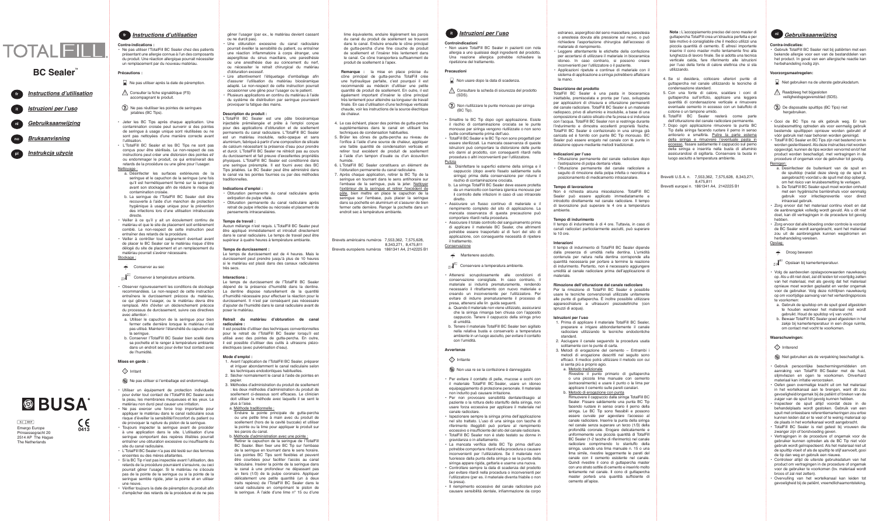*Gebruiksaanwijzing* **Istruzioni per l'uso Instructions d'utilisation** it nl

#### *Bruksanvisning* no

**Instrukcja użycia** pl

ou ne durcit pas).

• Une obturation excessive du canal radiculaire pourrait éveiller la sensibilité du patient, ou entraîner une réaction inflammatoire à corps étranger, une aspergillose du sinus maxillaire, une paresthésie ou une anesthésie due au coincement du nerf, ou nécessiter le retrait chirurgical du matériau d'obturation excessif.

Lire attentivement l'étiquetage d'emballage afin d'assurer l'utilisation du matériau biocéramique adapté. Le non-respect de cette instruction pourrait occasionner une gêne pour l'usager ou le patient. • Plusieurs applications en continu du matériau à l'aide

du système de distribution par seringue pourraient provoquer la fatigue des mains.

## **Description du produit :**

L'TotalFill BC Sealer est une pâte biocéramique injectable prémélangée et prête à l'emploi conçue pour des applications d'obturation et de scellement permanents du canal radiculaire. L'TotalFill BC Sealer est un matériau insoluble, radio-opaque et sans aluminium, fabriqué à partir d'une composition de silicate de calcium nécessitant la présence d'eau pour prendre et durcir. L'TotalFill BC Sealer ne rétrécit pas au cours du durcissement et fait preuve d'excellentes propriétés physiques. L'TotalFill BC Sealer est conditionné dans une seringue préremplie. Il est fourni avec des BC Tips jetables. Le BC Sealer peut être administré dans le canal via les pointes fournies ou par des méthodes traditionnelles.

## **Indications d'emploi :**

- 
- Enduire la pointe principale de gutta-percha ou une petite lime à main avec du produit de scellement (hors de la cavité buccale) et utiliser la pointe ou la lime pour appliquer le produit sur
- 
- Obturation permanente du canal radiculaire après extirpation de pulpe vitale.
- Obturation permanente du canal radiculaire après retrait de pulpe infectée ou nécrosée et placement de pansements intracanalaires.

## **Temps de travail :**

Aucun mélange n'est requis. L'TotalFill BC Sealer peut être appliqué immédiatement et introduit directemen dans le canal radiculaire. Le temps de travail peut être supérieur à quatre heures à température ambiante.

## **Temps de durcissement :**

Le temps de durcissement est de 4 heures. Mais le durcissement peut prendre jusqu'à plus de 10 heures si le matériau est placé dans des canaux radiculaire très secs.

## **Interactions :**

Le temps de durcissement de l'TotalFill BC Sealer dépend de la présence d'humidité dans la dentine. La dentine dispose naturellement de la quantité d'humidité nécessaire pour effectuer la réaction pour le durcissement. Il n'est par conséquent pas nécessaire d'ajouter de l'humidité dans le canal radiculaire avant de poser le matériau.

## **Retrait du matériau d'obturation de canal radiculaire :**

Il est possible d'utiliser des techniques conventionnelles pour le retrait de l'TotalFill BC Sealer lorsqu'il est utilisé avec des pointes de gutta-percha. En outre, il est possible d'utiliser des outils à ultrasons piézoélectriques (avec pulvérisation d'eau).

## **Mode d'emploi :**

- 1. Avant l'application de l'TotalFill BC Sealer, préparer et irriguer abondamment le canal radiculaire selon les techniques endodontiques habituelles.
- 2. Sécher normalement le canal à l'aide de pointes en papier.
- 3. Méthodes d'administration du produit de scellement : les deux méthodes d'administration du produit de scellement ci-dessous sont efficaces. Le clinicien doit utiliser la méthode avec laquelle il se sent le plus à l'aise.
- a. Méthode traditionnelle :

les parois du canal.

b. Méthode d'administration avec une pointe :

Retirer le capuchon de la seringue de l'TotalFill



BC Sealer. Bien fixer une BC Tip sur l'embase de la seringue en tournant dans le sens horaire. Les pointes BC Tips sont flexibles et peuvent être courbées pour faciliter l'accès au canal radiculaire. Insérer la pointe de la seringue dans le canal à une profondeur ne dépassant pas un tiers (1/3) de la pulpe coronaire. Applique délicatement une petite quantité (un à deux traits repères) de l'TotalFill BC Sealer dans le canal radiculaire en comprimant le piston de la seringue. À l'aide d'une lime n° 15 ou d'une

estraneo, aspergillosi del seno mascellare, parestesia o anestesia dovuta alla pressione sul nervo, o può richiedere l'asportazione chirurgica dell'eccesso di materiale di riempimento.

- Ne pas utiliser après la date de péremption.
- Consulter la fiche signalétique (FS) accompagnant le produit
- Ne pas réutiliser les pointes de seringues etables (BC Tips)
- Jeter les BC Tips après chaque application. Une contamination croisée peut survenir si des pointes de seringue à usage unique sont réutilisées ou ne sont pas nettoyées d'une manière correcte avant l'utilisation.
- L'TotalFill BC Sealer et les BC Tips ne sont pas conçus pour être stérilisés. Le non-respect de ces instructions peut créer une distorsion des pointes et/ ou endommager le produit, ce qui entraînerait des retards de la procédure ou une gêne pour l'usager.
- Leggere attentamente le etichette della confezione per accertarsi di utilizzare il materiale in bioceramica idoneo. In caso contrario, si possono creare inconvenienti per l'utilizzatore o il paziente.
- Applicazioni ripetute e continue di materiale con il sistema di applicazione a siringa potrebbero affaticare la mano.

## **Descrizione del prodotto**

- a. Désinfecter les surfaces extérieures de la seringue et le capuchon de la seringue (une fois qu'il est hermétiquement fermé sur la seringue) avant son stockage afin de réduire le risque de contamination croisée.
- b. La seringue de l'TotalFill BC Sealer doit être recouverte à l'aide d'un manchon de protection hygiénique à usage unique pour la prévention des infections lors d'une utilisation intrabuccale directe.
- Veiller à ce qu'il y ait un écoulement continu de matériau et que le site de placement soit entièrement comblé. Le non-respect de cette instruction peut entraîner des retards de la procédure.
- Veiller à contrôler tout saignement éventuel avant de placer le BC Sealer car le matériau risque d'être délogé du site de placement et un remplacement du matériau pourrait s'avérer nécessaire.

## Stockage :

Conserver au sec

## $\frac{10^{10}C}{10^{10}T}$ <sup>25°C</sup> Conserver à température ambiante.

TotalFill BC Sealer è una pasta in bioceramica iniettabile, premiscelata e pronta per l'uso, sviluppata per applicazioni di chiusura e otturazione permanenti del canale radicolare. TotalFill BC Sealer è un materiale radiopaco, privo di alluminio e insolubile, a base di una composizione di calcio silicato che fa presa e si indurisce con l'acqua. TotalFill BC Sealer non si restringe durante l'indurimento e dimostra eccellenti proprietà fisiche. TotalFill BC Sealer è confezionato in una siringa già caricata ed è fornito con punte BC Tip monouso. BC Sealer può essere erogato nel canale con le punte in dotazione oppure mediante metodi tradizionali.

## **Indicazioni per l'uso**

- Otturazione permanente del canale radicolare dopo l'estirpazione di polpa dentaria vitale.
- Otturazione permanente del canale radicolare a seguito di rimozione della polpa infetta o necrotica e posizionamento di medicamento intracanalare.

## **Tempo di lavorazione**

Non è richiesta alcuna miscelazione. TotalFill BC Sealer può essere applicato immediatamente e introdotto direttamente nel canale radicolare. Il tempo di lavorazione può superare le 4 ore a temperatura ambiente.

### **Tempo di indurimento**

Il tempo di indurimento è di 4 ore. Tuttavia, in caso di canali radicolari particolarmente asciutti, può superare le 10 ore.

#### **Interazioni**

Il tempo di indurimento di TotalFill BC Sealer dipende dalla presenza di umidità nella dentina. L'umidità contenuta per natura nella dentina corrisponde alla quantità necessaria per portare a termine la reazione di indurimento. Pertanto, non è necessario aggiungere umidità al canale radicolare prima dell'applicazione di materiale.

## **Rimozione dell'otturazione dal canale radicolare**

Per la rimozione di TotalFill BC Sealer è possibile usare le tecniche convenzionali utilizzate unitamente alle punte di guttapercha. È inoltre possibile utilizzare apparecchiature a ultrasuoni piezoelettriche (con spruzzi di acqua).

## **Istruzioni per l'uso**

- 1. Prima di applicare il materiale TotalFill BC Sealer, preparare e irrigare abbondantemente il canale radicolare utilizzando le tecniche endodontiche standard.
- 2. Asciugare il canale seguendo la procedura usata solitamente con le punte di carta.
- 3. Metodi di erogazione del cemento Entrambi i metodi di erogazione descritti nel seguito sono efficaci. Il medico potrà utilizzare il metodo con cui si senta più a proprio agio.

## a. Metodo tradizionale

- Rivestire il punto primario di guttapercha o una piccola lima manuale con cemento (extraoralmente) e usare il punto o la lima per applicare il cemento sulle pareti canalari. b. Metodo di erogazione con punta
- Rimuovere il cappuccio dalla siringa TotalFill BC Sealer. Fissare saldamente una punta BC Tip facendo ruotare in senso orario il perno della siringa. Le BC Tip sono flessibili e possono essere curvate per agevolare l'accesso al canale radicolare. Inserire la punta della siringa nel canale senza superare un terzo (1/3) della profondità coronale. Erogare delicatamente e uniformemente una piccola quantità di TotalFill BC Sealer (1-2 tacche di riferimento) nel canale radicolare comprimendo lo stantuffo della siringa. usando una lima manuale n. 15 o una lima simile, rivestire leggermente le pareti del canale con il cemento esistente nel canale. Quindi rivestire il cono di guttapercha master con uno strato sottile di cemento e inserirlo molto lentamente nel canale. Il cono di guttapercha master porterà una quantità sufficiente di cemento all'apice.

## **Instructions d'utilisation**

- **Contre-indications :**
- Ne pas utiliser l'TotalFill BC Sealer chez des patients présentant une allergie connue à l'un des composants du produit. Une réaction allergique pourrait nécessiter un remplacement par du nouveau matériau.

## **Précautions :**

- $\sqrt{2}$  Niet gebruiken na de uiterste gebruiksdatum.
- $\bigwedge$  Raadpleeg het bijgesloten iligheidsgegevensblad (SDS).
- De disposable spuittips (BC Tips) niet hergebruiken
- Gooi de BC Tips na elk gebruik weg. Er kan kruisbesmetting optreden als voor eenmalig gebruik bestemde spuittippen opnieuw worden gebruikt of vóór gebruik niet naar behoren worden gereinigd.
- TotalFill BC Sealer en BC Tips zijn niet bestemd om te worden gesteriliseerd. Als deze instructies niet worden opgevolgd, kunnen de tips worden vervormd en/of het product worden beschadigd, met vertragingen in de procedure of ongemak voor de gebruiker tot gevolg. Reinigen:
- a. Desinfecteer de buitenkant van de spuit en de spuitdop (nadat deze stevig op de spuit is aangebracht) voordat u de spuit met dop opbergt, om het risico van kruisbesmetting te verlagen.
- b. De TotalFill BC Sealer-spuit moet worden omhuld met een hygiënische barrièrehuls voor eenmalig gebruik voor infectiepreventie voor direct intraoraal gebruik.
- Zorg ervoor dat het materiaal continu vloeit en dat de aanbrengplek volledig wordt gevuld. Als u dit niet doet, kan dit vertragingen in de procedure tot gevolg hebben.
- Zorg ervoor dat alle bloeding onder controle is voordat de BC Sealer wordt aangebracht, want het materiaal zou uit de aanbrengplek kunnen wegstromen en herbehandeling vereisen. Opslag:

## **Droog bewaren**

- $20^{\circ}$ <sup>25°C</sup> Opslaan bij kamertemperatuur.
- Volg de aanbevolen opslagvoorwaarden nauwkeurig op. Als u dit niet doet, zal dit leiden tot voortijdig zetten van het materiaal, met als gevolg dat het materiaal opnieuw moet worden geplaatst en verder ongemak voor de gebruiker. Volg deze richtlijnen nauwkeurig op om voortijdige aanvang van het verhardingsproces te voorkomen:
- a. Gebruik de spuitdop om de spuit goed afgesloten te houden wanneer het materiaal niet wordt gebruikt. Houd de spuitdop vrij van vocht.
- b. Bewaar TotalFill BC Sealer goed afgesloten in het zakie bij kamertemperatuur in een droge ruimte om contact met vocht te voorkomen.

## Nettoyage :

it **Istruzioni per l'uso**<br>Conception de la constante de de acception alle propiese au paris a public and the Tactoppiamento preciso del cono master di<br>Constantino del controllo propiese au parte de la controlla del control **Nota :** L'accoppiamento preciso del cono master di guttapercha TotalFill crea un'idraulica perfetta e per tale motivo è consigliabile che il medico utilizzi una piccola quantità di cemento. È altresì importante inserire il cono master molto lentamente fino alla lunghezza di lavoro finale. Se si adotta una tecnica verticale calda, fare riferimento alle istruzioni per l'uso della fonte di calore elettrica che si sta utilizzando.

- Observer rigoureusement les conditions de stockage recommandées. Le non-respect de cette instruction entraînera le durcissement précoce du matériau, ce qui gênera l'usager, ou le matériau devra être remplacé. Afin d'éviter un déclenchement précoce du processus de durcissement, suivre ces directives avec attention : a. Utiliser le capuchon de la seringue pour bien
- fermer cette dernière lorsque le matériau n'est pas utilisé. Maintenir l'étanchéité du capuchon de la seringue.
- b. Conserver l'TotalFill BC Sealer bien scellé dans sa pochette et le ranger à température ambiante dans un endroit sec pour éviter tout contact avec de l'humidité.

fr **Instructions d'utilisation** gêner l'usager (par ex., le matériau devient cassant lime équivalente, enduire légèrement les parois the la limitudioni per l'uso lime équivalente, enduire légèrement les parois du canal du produit de scellement se trouvant dans le canal. Enduire ensuite le cône principal de gutta-percha d'une fine couche de produit de scellement et l'insérer très lentement dans le canal. Ce cône transportera suffisamment de produit de scellement à l'apex.

## **Mises en garde :**

 $\Diamond$  Irritant

## Ne pas utiliser si l'emballage est endommagé.

EC REP Emergo Europe Prinsessegracht 20 2514 AP The Hague The Netherlands



 $C_{0413}$ 

- Utiliser un équipement de protection individuelle pour éviter tout contact de l'TotalFill BC Sealer avec la peau, les membranes muqueuses et les yeux. Le
- matériau non durci peut causer une irritation. • Ne pas exercer une force trop importante pour appliquer le matériau dans le canal radiculaire sous risque d'éveiller la sensibilité/l'inconfort du patient ou de provoquer la rupture du piston de la seringue.
- Toujours inspecter la seringue avant de procéder à une application dans le site. L'utilisation d'une seringue comportant des repères illisibles pourrait entraîner une obturation excessive ou insuffisante du
- site du canal radiculaire. • L'TotalFill BC Sealer n'a pas été testé sur des femmes enceintes ou des mères allaitantes.
- Si la BC Tip n'est pas inspectée avant l'utilisation, des retards de la procédure pourraient s'ensuivre, ou ceci pourrait gêner l'usager. Si le matériau ne s'écoule pas de la pointe de la seringue ou si la pointe de la seringue semble rigide, jeter la pointe et en utiliser une neuve.
- Vérifier toujours la date de péremption du produit afin d'empêcher des retards de la procédure et de ne pas

## **Controindicazioni**

• Non usare TotalFill BC Sealer in pazienti con nota allergia a uno qualsiasi degli ingredienti del prodotto. Una reazione allergica potrebbe richiedere la ripetizione del trattamento.

## **Precauzioni**

- $\sqrt{2}$  Non usare dopo la data di scadenza.
- Consultare la scheda di sicurezza del prodotto (SDS).
- Non riutilizzare le punte monouso per siringa (BC Tip).
- il rischio di contaminazione crociata se le punte monouso per siringa vengono riutilizzate o non sono pulite correttamente prima dell'uso. • TotalFill BC Sealer e le BC Tip non sono progettati per essere sterilizzati. La mancata osservanza di queste istruzioni può comportare la distorsione delle punte
- procedura o altri inconvenienti per l'utilizzatore. Pulizia a. Disinfettare le superfici esterne della siringa e il
- siringa) prima della conservazione per ridurre il rischio di contaminazione crociata. b. La siringa TotalFill BC Sealer deve essere protetta
- il controllo delle infezioni in caso di uso intraorale diretto. • Assicurare un flusso continuo di materiale e il
- riempimento completo del sito di applicazione. La mancata osservanza di questa precauzione può comportare ritardi nella procedura.
- di applicare il materiale BC Sealer, che altrimenti potrebbe essere trasportato al di fuori del sito di applicazione, con conseguente necessità di ripetere il trattamento. **Conservazione**

## **Mantenere asciutto**

## $\sum_{\substack{0 \leq r \leq C \\ 50 \leq r}} \frac{2^{5 \times c}}{2^{5 \times c}}$  Conservare a temperatura ambiente.

• Smaltire le BC Tip dopo ogni applicazione. Esiste

e/o danni al prodotto, con conseguenti ritardi nella

cappuccio (dopo averlo fissato saldamente sulla

da un manicotto con barriera igienica monouso per

• Assicurare il totale controllo del sanguinamento prima

- Attenersi scrupolosamente alle condizioni di conservazione consigliate. In caso contrario, i materiale si indurirà prematuramente, rendendo necessario il ritrattamento con nuovo materiale e creando un inconveniente per l'utilizzatore. Per evitare di indurre prematuramente il processo di presa, attenersi alle lin guida seguenti.
- che la siringa rimanga ben chiusa con l'apposito cappuccio. Tenere il cappuccio della siringa privo di umidità.
- nella relativa busta e conservarlo a temperatura ambiente in un luogo asciutto, per evitare il contatto con l'umidità.

a. Quando il materiale non viene utilizzato, assicurarsi

b. Tenere il materiale TotalFill BC Sealer ben sigillato

## **Avvertenze**

## $\Diamond$  Irritante

## Non usa re se la confezione è danneggiata

• Ispezionare sempre la siringa prima dell'applicazione

- Per evitare il contatto di pelle, mucose e occhi con il materiale TotalFill BC Sealer, usare un idoneo equipaggiamento di protezione personale. Il materiale non indurito può causare irritazione.
- Per non provocare sensibilità dentale/disagio al paziente o la rottura dello stantuffo della siringa, non usare forza eccessiva per applicare il materiale nel canale radicolare.
- nel sito trattato. L'uso di una siringa con tacche di riferimento illeggibili può portare al riempimento eccessivo o insufficiente del sito del canale radicolare. • TotalFill BC Sealer non è stato testato su donne in gravidanza o in allattamento.
- La mancata verifica della BC Tip prima dell'uso potrebbe comportare ritardi nella procedura o causare inconvenienti per l'utilizzatore. Se il materiale non fuoriesce dalla punta della siringa o se la punta della siringa appare rigida, gettarla e usarne una nuova.
- per evitare ritardi nella procedura o inconvenienti per l'utilizzatore (per es. il materiale diventa friabile o non fa presa).
- Il riempimento eccessivo del canale radicolare può causare sensibilità dentale, infiammazione da corpo

• Controllare sempre la data di scadenza del prodotto

## **Contra-indicaties:**

• Gebruik TotalFill BC Sealer niet bij patiënten met een bekende allergie voor een van de bestanddelen van het product. In geval van een allergische reactie kan herbehandeling nodig zijn.

## **Voorzorgsmaatregelen:**

## **Waarschuwingen:**

## Irriterend

Niet gebruiken als de verpakking beschadigd is.

- Gebruik persoonlijke beschermingsmiddelen om aanraking van TotalFill BC Sealer met de huid, slijmvliezen en ogen te voorkomen. Onverhard materiaal kan irritatie veroorzaken.
- Oefen geen overmatige kracht uit om het materiaal in het wortelkanaal aan te brengen, want dit zou gevoeligheid/ongemak bij de patiënt of breken van de zuiger van de spuit tot gevolg kunnen hebben.
- Inspecteer de spuit altijd voordat deze in de behandelplaats wordt gestoken. Gebruik van een spuit met onleesbare referentiemarkeringen zou ertoe kunnen leiden dat er te veel of te weinig materiaal op de plaats in het wortelkanaal wordt aangebracht.
- TotalFill BC Sealer is niet getest bij vrouwen die zwanger zijn of borstvoeding geven.
- Vertragingen in de procedure of ongemak voor de gebruiker kunnen optreden als de BC Tip niet vóór gebruik wordt geïnspecteerd. Als het materiaal niet uit de spuittip vloeit of als de spuittip te stijf aanvoelt, gooi de tip dan weg en gebruik een nieuwe.
- Controleer altijd de uiterste gebruiksdatum van het product om vertragingen in de procedure of ongemak voor de gebruiker te voorkomen (bv. materiaal wordt broos of zal niet zetten).
- Overvulling van het wortelkanaal kan leiden tot gevoeligheid bij de patiënt, vreemdlichaamontsteking,
- 4. Se si desidera, collocare ulteriori punte di guttapercha nel canale utilizzando le tecniche di condensazione standard.
- 5. Con una fonte di calore, scaldare i coni di guttapercha sull'orifizio, applicare una leggera quantità di condensazione verticale e rimuovere eventuale cemento in eccesso con un batuffolo di cotone o un tampone umido.
- 6. TotalFill BC Sealer resterà come parte dell'otturazione del canale radicolare permanente.
- 7. Dopo ogni applicazione rimuovere la punta BC Tip dalla siringa facendo ruotare il perno in senso antiorario e smaltirla. Pulire la parte esterna della siringa e rimuovere l'eventuale pasta in eccesso, fissare saldamente il cappuccio sul perno della siringa e inserirla nella busta di alluminio assicurandosi di sigillarla. Conservare la busta in luogo asciutto a temperatura ambiente.

Brevetti U.S.A. n. 7,553,362, 7,575,628, 8,343,271, 8,475,811 Brevetti europei n. 1861341 A4, 2142225 B1



**Remarque :** la mise en place précise du cône principal de gutta-percha TotalFill crée une hydraulique parfaite, c'est pourquoi il est recommandé au médecin d'utiliser une petite quantité de produit de scellement. En outre, il est également important d'insérer le cône principal très lentement pour atteindre sa longueur de travail finale. En cas d'utilisation d'une technique verticale chaude, voir les instructions de la source électrique de chaleur.

- 4. Le cas échéant, placer des pointes de gutta-percha supplémentaires dans le canal en utilisant les techniques de condensation habituelles.
- 5. Brûler les cônes de gutta-percha au niveau de l'orifice à l'aide d'une source de chaleur, appliquer une faible quantité de condensation verticale et retirer tout excédent de produit de scellement à l'aide d'un tampon d'ouate ou d'un écouvillon humide.
- 6. L'TotalFill BC Sealer constituera un élément de l'obturation permanente du canal radiculaire.
- 7. Après chaque application, retirer la BC Tip de la seringue en tournant dans le sens antihoraire sur l'embase de la seringue, puis la jeter. Nettoyer l'extérieur de la seringue et retirer l'excédent de pâte, bien mettre en place le capuchon de la seringue sur l'embase, puis placer la seringue dans sa pochette en aluminium et s'assurer de bien fermer cette dernière. Ranger la pochette dans un endroit sec à température ambiante.

Brevets américains numéros 7,553,362, 7,575,628, 8,343,271, 8,475,811 Brevets européens numéros 1861341 A4, 2142225 B1



## **BC Sealer**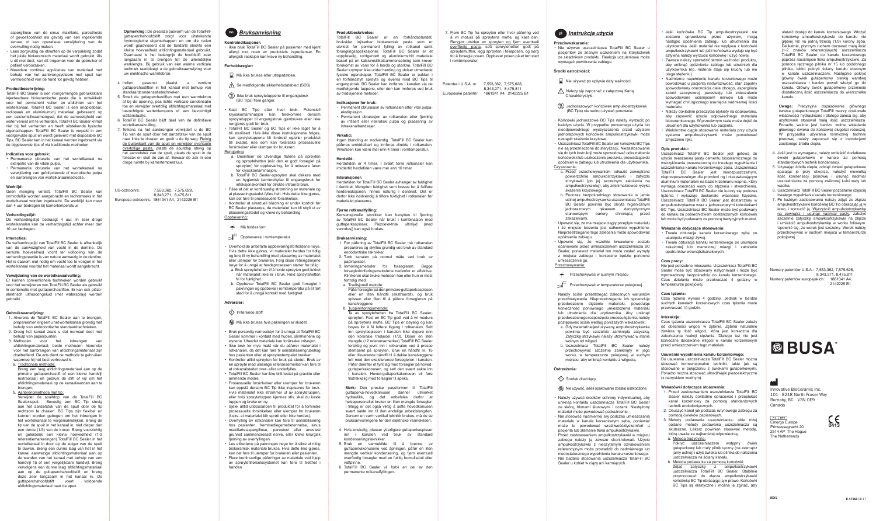aspergillose van de sinus maxillaris, paresthesie of gevoelloosheid als gevolg van een ingeklemde zenuw, of kan operatieve verwijdering van de overvulling nodig maken.

- Lees zorgvuldig de etiketten op de verpakking zodat het juiste biokeramisch materiaal wordt gebruikt. Als u dit niet doet, kan dit ongemak voor de gebruiker of patiënt veroorzaken.
- Meerdere continue applicaties van materiaal met behulp van het aanbrengsysteem met spuit kan vermoeidheid van de hand tot gevolg hebben.

## **Productbeschrijving:**

TotalFill BC Sealer is een voorgemengde gebruiksklare injecteerbare biokeramische pasta die is ontwikkeld voor het permanent vullen en afdichten van het wortelkanaal. TotalFill BC Sealer is een onoplosbaar, radiopaak en aluminiumvrij materiaal gebaseerd op een calciumsilicaatmengsel, dat de aanwezigheid van water vereist om te verharden. TotalFill BC Sealer krimpt niet bij het verharden en heeft uitstekende fysische eigenschappen. TotalFill BC Sealer is verpakt in een voorgevulde spuit en wordt geleverd met disposable BC Tips. BC Sealer kan in het kanaal worden ingebracht via de bijgeleverde tips of via traditionele methoden.

## **Indicaties voor gebruik:**

- Permanente obturatie van het wortelkanaal na extirpatie van de vitale pulpa. • Permanente obturatie van het wortelkanaal na
- verwijdering van geïnfecteerde of necrotische pulpa en aanbrengen van wortelkanaalmedicatie.

## **Werktijd:**

Geen menging vereist. TotalFill BC Sealer kan onmiddellijk worden aangebracht en rechtstreeks in het wortelkanaal worden ingebracht. De werktijd kan meer dan 4 uur bedragen bij kamertemperatuur.

**Verhardingstijd:** 

De verhardingstijd bedraagt 4 uur. In zeer droge

wortelkanalen kan de verhardingstijd echter meer dan 10 uur bedragen.

## **Interacties:**

De verhardingstijd van TotalFill BC Sealer is afhankelijk van de aanwezigheid van vocht in de dentine. De vereiste hoeveelheid vocht ter voltooiing van de verhardingsreactie is van nature aanwezig in de dentine. Het is daarom niet nodig om vocht toe te voegen in het wortelkanaal voordat het materiaal wordt aangebracht.

### **Verwijdering van de wortelkanaalvulling:**

Er kunnen conventionele technieken worden gebruikt voor het verwijderen van TotalFill BC Sealer als gebruikt in combinatie met guttaperchastiften. Er kan ook piëzoelektrisch ultrasoongeluid (met waterspray) worden gebruikt.

TotalFill BC Sealer er en forhåndsblandet bruksklar injiserbar biokeramisk pasta som er utviklet for permanent fylling av rotkanal samt forseglingsapplikasjoner. TotalFill BC Sealer er et uoppløselig, røntgentett og aluminiumsfritt materiale basert på en kalsiumsilikatsammensetning som krever forekomst av vann for å herde og størkne. TotalFill BC Sealer krymper ikke under herding og utviser utmerkede fysiske egenskaper. TotalFill BC Sealer er pakket en forhåndsfylt sprøyte og leveres med BC Tips til engangsbruk. BC Sealer kan innføres i kanalen via de medfølgende tuppene, eller den kan innføres ved bruk av tradisjonelle metoder.

Patenter i U.S.A. nr. 7,553,362, 7,575,628,

#### **Gebruiksaanwijzing:**

Herdetiden er 4 timer. I svært tørre rotkanaler kan imidlertid herdetiden være mer enn 10 timer.

- 1. Alvorens de TotalFill BC Sealer aan te brengen, prepareert en irrigeert u het wortelkanaal grondig met behulp van endodontische standaardtechnieken.
- 2. Droog het kanaal zoals u dat normaal doet met behulp van papierpunten.
- 3. Methoden voor het inbrengen van afdichtingsmateriaal: beide methoden hieronder voor het aanbrengen van afdichtingsmateriaal zijn doeltreffend. De arts dient de methode te gebruiken waarmee hij het best vertrouwd is.
- a. Traditionele methode:
- Breng een laag afdichtingsmateriaal aan op de primaire guttaperchastift of een kleine handvijl (extraoraal) en gebruik de stift of vijl om het afdichtingsmateriaal op de kanaalwanden aan te brengen.
- b. Aanbrengmethode met tip:

Verwijder de spuitdop van de TotalFill BC Sealer-spuit. Bevestig een BC Tip stevig aan het aanzetstuk van de spuit door de tip rechtsom te draaien. BC Tips zijn flexibel en kunnen worden gebogen om het inbrengen in het wortelkanaal te vergemakkelijken. Breng de tip van de spuit in het kanaal in, niet dieper dan een derde (1/3) van de kroon. Breng voorzichtig en geleidelijk een kleine hoeveelheid (1-2 referentiemarkeringen) TotalFill BC Sealer in het wortelkanaal in door op de zuiger van de spuit te duwen. Breng een dunne laag van het in het kanaal aanwezige afdichtingsmateriaal aan op de wanden van het kanaal met behulp van een handvijl 15 of een vergelijkbare handvijl. Breng vervolgens een dunne laag afdichtingsmateriaal aan op de guttaperchahoofdstift en breng deze zeer langzaam in het kanaal in. De guttaperchahoofdstift voert voldoende afdichtingsmateriaal naar de apex.

- 4. Hvis ønskelig, plasser ytterligere guttaperkaspisse inn i kanalen ved bruk av standard kondenseringsteknikker.
- 5. Bruk en varmekilde til å brenne av guttaperkakonusene ved åpningen, påfør en liten mengde vertikal kondensering, og fjern eventuell overflødig forsegler med en fuktig bomullsdott eller vattpinne.
- 6. TotalFill BC Sealer vil forbli en del av den permanente rotkanalfyllingen.

## **Produktbeskrivelse:**

#### **Indikasjoner for bruk:**

- Permanent obturasjon av rotkanalen etter vital pulpaekstirpasjon.
- Permanent obturasjon av rotkanalen etter fjerning av infisert eller nekrotisk pulpa og plassering av intrakanalbandasjer.

## **Virketid:**

Ingen blanding er nødvendig. TotalFill BC Sealer kan påføres umiddelbart og innføres direkte i rotkanalen. Virketiden kan være mer enn 4 timer i romtemperatur.

## **Herdetid:**

## **Interaksjoner:**

Do usuwania uszczelniacza TotalFill BC Sealer można stosować konwencionalne techniki, takie jak są stosowane w połączeniu z ćwiekami gutaperkowymi. Ponadto można stosować ultradźwięki piezoelektryczne z natryskiem wodnym

Herdetiden for TotalFill BC Sealer avhenger av fuktighet i dentinet. Mengden fuktighet som kreves for å fullføre herdereaksjonen, finnes naturlig i dentinet. Det er derfor ikke nødvendig å tilføre fuktighet i rotkanalen før materialet plasseres.

### **Fjerne rotkanalfylling:**

Konvensjonelle teknikker kan benyttes til fjerning av TotalFill BC Sealer når brukt i kombinasjon med guttaperkaspisser. Piezoelektrisk ultralyd (med vanndusj) kan også brukes.

## **Bruksanvisning:**

- 1. Før påføring av TotalFill BC Sealer må rotkanalen prepareres og skylles grundig ved bruk av standard endodontiske teknikker.
- 2. Tørk kanalen på normal måte ved bruk av papirspisser.
- 3. Innføringsmetoder for forsegleren: Begge forseglerinnføringsmetodene nedenfor er effektive. Klinikeren skal bruke metoden han eller hun er mest fortrolig med.
- a. Tradisjonell metode:

 $\bigwedge$  Se medfølgende sikkerhetsdatablad (SDS). Ikke bruk sprøytetuppene til engangsbruk

> Påfør forsegler på den primære guttaperkaspissen eller en liten håndfil (ekstraoralt), og bruk spissen eller filen til å påføre forsegleren på kanalveggene. b. Tuppinnføringsmetode:

Ta av sprøytehetten fra TotalFill BC Sealersprøyten. Fest en BC Tip godt ved å vri medurs på sprøytens muffe. BC Tips er bøyelig og kan bøyes for å få lettere tilgang i rotkanalen. Sett inn sprøytespissen i kanalen ikke dypere enn den koronale tredjedel (1/3). Doser en liten mengde (12 referansemerker) TotalFill BC Sealer forsiktig og jevnt inn i rotkanalen ved å presse stempelet på sprøyten. Bruk en håndfil nr. 15 eller tilsvarende håndfil til å dekke kanalveggene lett med den eksisterende forsegleren i kanalen. Påfør deretter et tynt lag med forsegler på hovedguttaperkakonusen, og sett den svært sakte inn i kanalen. Hoved-guttaperkakonusen vil føre tilstrekkelig med forsegler til apeks.

- $20^{25}$ <sup>25°C</sup> Oppbevares i romtemperatur.
- Overhold de anbefalte oppbevaringsforholdene nøye. Hvis dette ikke gjøres, vil materialet herdes for tidlig og føre til ny behandling med plassering av materialet eller ulemper for brukeren. Følg disse retningslinjene nøye for å unngå at herdeprosessen starter for tidlig:
- a. Bruk sprøytehetten til å holde sprøyten godt lukket når materialet ikke er i bruk. Hold sprøytehetten fri for fuktighet.
- b. Oppbevar TotalFill BC Sealer godt forseglet i pakningen og oppbevar i romtemperatur på et tørt sted for å unngå kontakt med fuktighet.

**Merk:** Den presise passformen til TotalFill guttaperka-hovedkonusen danner utmerket hydraulikk, og det anbefales derfor at helsepersonellet bruker en liten mengde forsegler. I tillegg er det også viktig å sette hovedkonusen svært sakte inn til den endelige arbeidslengden. Dersom en varm vertikal teknikk brukes, må du se bruksanvisningene for den elektriske varmekilden.

- Jeśli końcówka BC Tip ampułkostrzykawki nie zostanie sprawdzona przed użyciem, mogą nastąpić opóźnienia zabiegu lub utrudnienia dla użytkownika. Jeśli materiał nie wypływa z końcówki ampułkostrzykawki lub jeśli końcówka wydaje się być sztywna należy wyrzucić końcówkę i użyć nowej.
- Zawsze należy sprawdzić termin ważności produktu, aby uniknąć opóźnienia zabiegu lub utrudnień dla użytkownika (np. materiał staje się kruchy lub nie ulega stężeniu).
- Nadmierne napełnienie kanału korzeniowego może powodować u pacjenta nadwrażliwość, stan zapalny spowodowany obecnością ciała obcego, aspergilozę zatoki szczękowej, parestezję lub znieczulenie spowodowane uciśnieciem nerwów lub może wymagać chirurgicznego usunięcia nadmiernej ilości materiału.
- Należy dokładnie przeczytać etykiety na opakowaniu, aby zapewnić użycie odpowiedniego materiału bioceramicznego. W przeciwnym razie może dojść do utrudnień dla użytkownika lub pacjenta.
- Wielokrotne ciągłe stosowanie materiału przy użyciu systemu ampułkostrzykawki może powodować zmęczenie ręki.
- $\sum$  Nie używać po upływie daty ważności
- Należy się zapoznać z załączoną Kartą harakterystyk
- Jednorazowych końcówek ampułkostrzykawek BC Tips) nie wolno używać ponowi
- Końcówki jednorazowe BC Tips należy wyrzucić po każdym użyciu. W przypadku ponownego użycia lub nieodpowiedniego wyczyszczenia przed użyciem jednorazowych końcówek ampułkostrzykawki może nastąpić skażenie krzyżowe.
- Uszczelniacz TotalFill BC Sealer ani końcówki BC Tips nie są przeznaczone do sterylizacji. Niezastosowanie się do tych instrukcji może spowodować odkształcenie końcówek i/lub uszkodzenie produktu, prowadzące do opóźnień w zabiegu lub utrudnienia dla użytkownika. Czyszczenie:
- a. Przed przechowywaniem odkazić zewnętrzne powierzchnie ampułkostrzykawki i zatyczki strzykawki (po jej szczelnym założeniu na ampułkostrzykawkę), aby zminimalizować ryzyko skażenia krzyżowego.
- b. Podczas bezpośredniego stosowania w jamie ustnej ampułkostrzykawka uszczelniacza TotalFill BC Sealer powinna być okryta higienicznym jednorazowym rękawem dentystycznym stanowiącym barierę chroniącą przed zakażeniam
- Upewnić się, że ma miejsce ciągły przepływ materiału i że miejsce leczenia jest całkowicie wypełnione. Nieprzestrzeganie tego zalecenia może spowodować opóźnienia zabiegu.
- Upewnić się, że wszelkie krwawienie zostało opanowane przed umieszczeniem uszczelniacza BC Sealer, ponieważ materiał ten może zostać wymyty z miejsca zabiegu i konieczne bedzie ponowne umieszczenie go. Przechowywanie:

## **Przechowywać w suchym miejscu**

<sub>seç</sub>∬<sup>25°c</sup> Przechowywać w temperaturze pokojowej.

- Należy ściśle przestrzegać zalecanych warunków przechowywania. Nieprzestrzeganie ich spowoduje przedwczesne stężenie materiału, powodując konieczność ponownego umieszczenia materiału lub utrudnienia dla użytkownika. Aby uniknąć przedwczesnego rozpoczęcia procesu tężenia, należy postępować ściśle według poniższych wskazówek:
- a. Gdy materiał nie jest używany, ampułkostrzykawka powinna być szczelnie zamknięta zatyczką. Zatyczkę strzykawki należy utrzymywać w stanie wolnym od wilgoci.
- b. Uszczelniacz TotalFill BC Sealer należy przechowywać szczelnie zamknięty w jego worku, w temperaturze pokojowej w suchym miejscu, aby uniknąć kontaktu z wilgocią.

## **Opis produktu:**

Uszczelniacz TotalFill BC Sealer jest gotową do użycia mieszaniną pasty cementu bioceramicznego do wstrzykiwania przeznaczoną do trwałego wypełniania i uszczelniania kanału korzeniowego zęba. Uszczelniacz TotalFill BC Sealer iest nierozpuszczalnym, nieprzepuszczalnym dla promieni rtg i niezawierającym aluminium materiałem na bazie krzemianu wapnia, który wymaga obecności wody do stężenia i stwardnienia. Uszczelniacz TotalFill BC Sealer nie kurczy się podczas tężenia i wykazuje doskonałe własności fizyczne. Uszczelniacz TotalFill BC Sealer jest dostarczany w ampułkostrzykawce wraz z jednorazowymi końcówkami BC Tips. Uszczelniacz BC Sealer może być podawany do kanału za pośrednictwem dostarczonych końcówek lub może być podawany za pomocą tradycyjnych metod.

## **Wskazania dotyczące stosowania:**

- Trwała obturacja kanału korzeniowego zęba po usunięciu miazgi żywej.
- Trwała obturacja kanału korzeniowego po usunięciu zakażonej lub martwiczej miazgi i założeniu opatrunków wewnątrzkanałowych.

## **Czas pracy:**

Nie jest potrzebne mieszanie. Uszczelniacz TotalFill BC Sealer może być stosowany natychmiast i może być wprowadzany bezpośrednio do kanału korzeniowego. Czas działania może przekraczać 4 godziny w temperaturze pokojowej.

## **Czas tężenia:**

Czas tężenia wynosi 4 godziny. Jednak w bardzo suchych kanałach korzeniowych czas tężenia może przekraczać 10 godzin.

## **Interakcje:**

Czas tężenia uszczelniacza TotalFill BC Sealer zależy od obecności wilgoci w zębinie. Zębina naturalnie zawiera tę ilość wilgoci, która jest konieczna dla zakończenia reakcji stężania. Dlatego też nie jest konieczne dodawanie wilgoci w kanale korzeniowym przed umieszczeniem tego materiału.

### **Usuwanie wypełnienia kanału korzeniowego:**

## **Wskazówki dotyczące stosowania:**

- 1. Przed zastosowaniem uszczelniacza TotalFill BC Sealer należy dokładnie opracować i przepłukać kanał korzeniowy za pomocą standardowych technik endodontycznych.
- 2. Osuszyć kanał jak podczas rutynowego zabiegu za pomocą ćwieków papierowych.
- 3. Metody podawania uszczelniacza: obie niżej podane metody podawania uszczelniacza są skuteczne. Lekarz powinien stosować metodę, którą uważa za najbardziej odpowiednią. a. Metoda tradycyjna:
- Pokryć uszczelniaczem wstępny ćwiek gutaperkowy lub mały pilnik ręczny (na zewnątrz jamy ustnej) i użyć ćwieka lub pilnika do nałożenia uszczelniacza na ściany kanału.
- b. Metoda podawania za pomocą końcówki: Zdjąć zatyczkę z ampułkostrzykawki uszczelniacza TotalFill BC Sealer. Stabilnie przymocować do złącza ampułkostrzykawki końcówkę BC Tip obracając ją w prawo. Końcówki BC Tips są elastyczne i można je zginać, aby

 $FC$  RFP Emergo Europe Prinsessegracht 20 2514 AP The Hague The Netherlands

CE<br><sub>0413</sub>

*Bruksanvisning*

Må ikke brukes etter utløpsdatoen.

**Kontraindikasjoner:**

• Ikke bruk TotalFill BC Sealer på pasienter med kjent allergi mot noen av produktets ingredienser. En allergisk reaksjon kan kreve ny behandling.

**Forholdsregler:**

(BC Tips) flere ganger.

• Kast BC Tips etter hver bruk. Potensiell krysskontaminasjon kan forekomme dersom sprøytetupper til engangsbruk gjenbrukes eller ikke

rengjøres godt før bruk.

• TotalFill BC Sealer og BC Tips er ikke laget for å bli sterilisert. Hvis ikke disse instruksjonene følges, kan sprøytetuppene bli fordreid og/eller produktet bli skadet, noe som kan forårsake prosessuelle

forsinkelser eller ulemper for brukeren.

Rengjøring:

Må holdes tørr.

a. Desinfiser de utvendige flatene på sprøyten og sprøytehetten (når den er godt forseglet på sprøyten) før oppbevaring, for å redusere faren

for krysskontaminasjon.

b. TotalFill BC Sealer-sprøyten skal dekkes med en hygienisk barrierehylse til engangsbruk for infeksjonskontroll for direkte intraoral bruk. • Påse at det er kontinuerlig strømning av materiale og at plasseringsstedet fylles helt. Hvis dette ikke gjøres,

kan det føre til prosessuelle forsinkelser.

• Kontroller at eventuell blødning er under kontroll før BC Sealer plasseres, da materialet kan bli skylt ut av plasseringsstedet og kreve ny behandling.

Oppbevaring:

## **Advarsler:**

## Irriterende stoff

Må ikke brukes hvis pakningen er skadet.

- Bruk personlig verneutstyr for å unngå at TotalFill BC Sealer kommer i kontakt med huden, slimhinnene og øynene. Uherdet materiale kan forårsake irritasjon.
- Ikke bruk for mye makt når du påfører materialet i rotkanalen, da det kan føre til sensibilisering/ubehag hos pasienten eller at sprøytestempelet brekker.
- Kontroller alltid sprøyten før bruk på stedet. Bruk av en sprøyte med uleselige referansemerker kan føre til at rotkanalstedet over- eller underfylles.
- TotalFill BC Sealer har ikke blitt testet på gravide eller ammende mødre.
- Prosessuelle forsinkelser eller ulemper for brukeren kan oppstå dersom BC Tip ikke inspiseres før bruk. Hvis materialet ikke strømmer ut av sprøytetuppen, eller hvis sprøytetuppen kjennes stiv, skal du kaste tuppen og bruke en ny.
- Sjekk alltid utløpsdatoen til produktet for å forhindre prosessuelle forsinkelser eller ulemper for brukeren (f.eks. at materialet blir sprøtt eller ikke herdes).
- Overfylling av rotkanalen kan føre til sensibilisering hos pasienten, fremmedlegemebetennelse, sinus maxillaris-aspergillose, parestesi eller anestesi grunnet sammenpresset nerve, eller kreve kirurgisk fjerning av overfyllingen.
- Les etikettene på pakningen nøye for å sikre at riktig biokeramisk materiale brukes. Hvis dette ikke gjøres, kan det føre til ulemper for brukeren eller pasienten.
- Flere kontinuerlige påføringer av materiale ved hjelp av sprøytetilførselssystemet kan føre til tretthet i hånden.

### **Przeciwwskazania:**

• Nie używać uszczelniacza TotalFill BC Sealer u pacjentów ze znanym uczuleniem na którykolwiek ze składników produktu. Reakcja uczuleniowa może wymagać powtórzenia zabiegu.

## **Środki ostrożności:**

### **Ostrzeżenia:**

## $\Diamond$  Środek drażniący

Nie używać, jeżeli opakowanie zostało uszkodzone.

- Należy używać środków ochrony indywidualnej, aby uniknąć kontaktu uszczelniacza TotalFill BC Sealer ze skórą, błonami śluzowymi i oczami. Niestężony materiał może powodować podrażnienie.
- Nie stosować nadmiernej siły podczas umieszczania materiału w kanale korzeniowym zęba, ponieważ może to powodować wrażliwość/dyskomfort u pacjenta lub złamanie tłoka ampułkostrzykawki.
- Przed zastosowaniem ampułkostrzykawki w miejscu zabiegu należy ją zawsze skontrolować. Użycie ampułkostrzykawki z nieczytelnym oznakowaniem referencyjnym może prowadzić do nadmiernego lub niedostatecznego wypełnienia kanału korzeniowego.
- Nie badano stosowania uszczelniacza TotalFill BC Sealer u kobiet w ciąży ani karmiących.

Innovative BioCeramix Inc. 101 - 8218 North Fraser Way Burnaby, BC V3N 0E9 Canada

ułatwić dostęp do kanału korzeniowego. Włożyć końcówkę ampułkostrzykawki do kanału nie głębiej niż na jedną trzecią (1/3) korony zęba. Delikatnie, płynnym ruchem dozować małą ilość (1-2 znaków referencyjnych) uszczelniacza TotalFill BC Sealer do kanału korzeniowego poprzez naciśnięcie tłoka ampułkostrzykawki. Za pomocą ręcznego pilnika nr 15 lub podobnego .<br>pilnika, lekko pokryć ściany kanału obecnym w kanale uszczelniaczem. Następnie pokryć główny ćwiek gutaperkowy cienką warstwą uszczelniacza i bardzo powoli włożyć go do kanału. Główny ćwiek gutaperkowy przeniesie dostateczną ilość uszczelniacza do wierzchołka kanału.

**Uwaga:** Precyzyjne dopasowanie głównego ćwieka gutaperkowego TotalFill tworzy doskonałe właściwości hydrauliczne i dlatego zaleca się, aby użytkownik stosował małą ilość uszczelniacza. Ponadto ważne jest bardzo wolne wkładanie głównego ćwieka do końcowej długości roboczej. W przypadku używania termicznej techniki pionowej należy zapoznać się z instrukcjami zasilanego źródła ciepła.

- 4. Jeśli jest to wymagane, należy umieścić dodatkowe ćwieki gutaperkowe w kanale za pomocą standardowych technik kondensacji.
- 5. Używając źródła ciepła, odciąć ćwieki gutaperkowe spalając je przy otworze, nałożyć niewielką ilość kondensacji pionowej i usunąć nadmiar uszczelniacza za pomocą zwilżonej kulki waty lub wacika.
- 6. Uszczelniacz TotalFill BC Sealer pozostanie częścią trwałego wypełnienia kanału korzeniowego.
- 7. Po każdym zastosowaniu należy zdjąć ze złącza ampułkostrzykawki końcówkę BC Tip obracając ją w lewo, i wyrzucić ją. Wyczyścić ampułkostrzykawkę na zewnątrz i usunąć nadmiar pasty, założyć szczelnie zatyczkę ampułkostrzykawki na złącze i umieścić ampułkostrzykawkę w worku foliowym. Upewnić się, że worek jest szczelny. Worek należy przechowywać w suchym miejscu w temperaturze pokojowej.

Numery patentów U.S.A.: 7,553,362, 7,575,628, 8,343,271, 8,475,811 Numery patentów europejskich: 1861341 A4, 2142225 B1





å vri moturs på sprøytens muffe, og kast den. Rengjør utsiden av sprøyten og fjern eventuell overflødig pasta, sett sprøytehetten godt på

sprøytemuffen, legg sprøyten i folieposen, og sørg for å forsegle posen. Oppbevar posen på et tørt sted

8,343,271, 8,475,811<br>Europeiske patentnr. 1861341 A4, 214222 1861341 A4, 2142225 B1

#### no **Bruksanvisning**<br> **1990 Total Constitutions** Constitutions of the second interview of the sprotter of the sprotter method and the second of the **Instrukcja użycia** pl Instrukcja użycia

i romtemperatur.

**Opmerking :** De precieze pasvorm van de TotalFillguttaperchahoofdstift zorgt voor uitstekende hydrologische eigenschappen en om die reden wordt geadviseerd dat de tandarts slechts een kleine hoeveelheid afdichtingsmateriaal gebruikt. Daarnaast is het belangrijk de hoofdstift zeer langzaam in te brengen tot de uiteindelijke werklengte. Bij gebruik van een warme verticale techniek raadpleegt u de gebruiksaanwijzing voor

guttaperchastiften in het kanaal met behulp van

- uw elektrische warmtebron. 4. Indien gewenst plaatst u verdere
- standaardcondensatietechnieken. 5. Smelt de guttaperchastiften met een warmtebron af bij de opening, pas lichte verticale condensatie toe en verwijder overtollig afdichtingsmateriaal met bevochtigde wattentampons of een bevochtigd

- wattenstaafje. 6. TotalFill BC Sealer blijft deel van de definitieve wortelkanaalvulling.
- 7. Telkens na het aanbrengen verwijdert u de BC Tip van de spuit door het aanzetstuk van de spuit naar links te draaien en gooit u de tip weg. Reinig de buitenkant van de spuit en verwijder eventuele overtollige pasta, plaats de spuitdop stevig op het aanzetstuk van de spuit, plaats de spuit in de foliezak en sluit de zak af. Bewaar de zak in een droge ruimte bij kamertemperatuur.

US-octrooinrs. 7,553,362, 7,575,628, 8,343,271, 8,475,811 Europese octrooinrs. 1861341 A4, 2142225 B1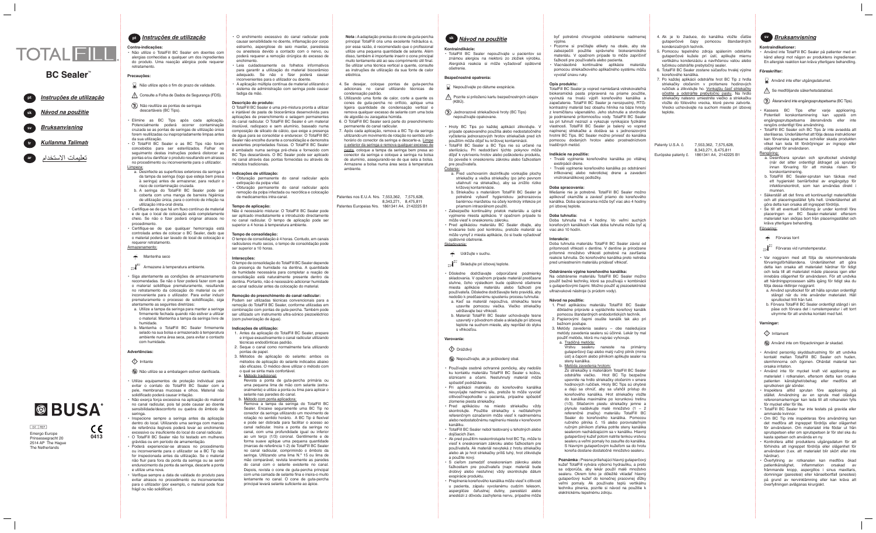#### **Kontraindikationer: Kontraindikatione**

**Kontraindikácie: Kontraindikácie:** ošetrenie. ošetreni

> b. Striekačku s materiálom TotalFill BC Sealer je potrebné vybaviť hygienickou jednorazovou potrebné vybaviť hygienickou jednorazovou bariérnou manžetou na účely kontroly infekcie pri bariérnou manžetou na účely kontroly infekcie pri priamom intraorálnom použití. priamom intraorálnom použití. b. Striekačku s materiálom TotalFill BC Sealer j

• Dôsledne dodržiavajte odporúčané podmienky • Dôsledne dodržiavajte odporúčané podmienky skladovania. V opačnom prípade materiál predčasne stuhne, čoho výsledkom bude opätovné ošetrenie miesta aplikácie materiálu alebo ťažkosti pre miesta aplikácie materiálu alebo ťažkosti pre používateľa. Dôsledne dodržiavajte tieto pravidlá, aby používateľa. Dôsledne dodržiavajte tieto pravidlá, aby nedošlo k predčasnému spusteniu procesu tuhnutia: nedošlo k predčasnému spusteniu procesu tuhnutia: a. Keď sa materiál nepoužíva, striekačku tesne a. Keď sa materiál nepoužíva, striekačku tesne uzavrite pomocou viečka. Viečko striekačky uzavrite pomocou viečka. Viečko striekačky skladovania. V opačnom prípade materiál predčasne stuhne, čoho výsledkom bude opätovné ošetreni

• Ak pred použitím neskontrolujete hrot BC Tip, môže to viesť k oneskoreniam zákroku alebo ťažkostiam pre viesť k oneskoreniam zákroku alebo ťažkostiam pre používateľa. Ak materiál nevyteká z hrotu striekačky používateľa. Ak materiál nevyteká z hrotu striekačky alebo ak je hrot striekačky príliš tuhý, hrot zlikvidujte alebo ak je hrot striekačky príliš tuhý, hrot zlikvidujte • Ak pred použitím neskontrolujete hrot BC Tip, môže to

• Preplnenie koreňového kanálika môže viesť k citlivosti • Preplnenie koreňového kanálika môže viesť k citlivosti u pacienta, zápalu vyvolanému cudzím telesom, aspergilóze čeľustnej dutiny, parestézii alebo anestézii z dôvodu zachytenia nervu, prípadne môže anestézii z dôvodu zachytenia nervu, prípadne môže u pacienta, zápalu vyvolanému cudzím telesom, aspergilóze čeľustnej dutiny, parestézii alebo

výplne. výpln

• Pozorne si prečítajte etikety na obale, aby ste zabezpečili použitie správneho biokeramického zabezpečili použitie správneho biokeramického materiálu. V opačnom prípade to môže zapríčiniť materiálu. V opačnom prípade to môže zapríčiniť ťažkosti pre používateľa alebo pacienta. ťažkosti pre používateľa alebo pacienta. • Viacnásobné kontinuálne aplikácie materiálu • Viacnásobné kontinuálne aplikácie materiálu • Pozorne si prečítajte etikety na obale, aby ste



#### **Contra-indicações: Contra-indicações:**

• Não utilize o TotalFill BC Sealer em doentes com alergias conhecidas a qualquer um dos ingredientes alergias conhecidas a qualquer um dos ingredientes do produto. Uma reacção alérgica pode requerer do produto. Uma reacção alérgica pode requerer retratamento. retratamento. • Não utilize o TotalFill BC Sealer em doentes com

## **Precauções: Precauções:**

- Não utilize após o fim do prazo de validade. Não utilize após o fim do prazo de validade.
- Consulte a Folha de Dados de Segurança (FDS). Consulte a Folha de Dados de Segurança (FDS).
- Não reutilize as pontas de seringas Não reutilize as pontas de seringas descartáveis (BC Tips). descartáveis (BC Tips).
- Elimine as BC Tips após cada aplicação. Elimine as BC Tips após cada aplicação. Potencialmente poderá ocorrer contaminação Potencialmente poderá ocorrer contaminação cruzada se as pontas de seringas de utilização única cruzada se as pontas de seringas de utilização única forem reutilizadas ou inapropriadamente limpas antes forem reutilizadas ou inapropriadamente limpas antes da sua utilização. da sua utilização. • O TotalFill BC Sealer e as BC Tips não foram • O TotalFill BC Sealer e as BC Tips não foram
- concebidos para ser esterilizados. Falhar no concebidos para ser esterilizados. Falhar no seguimento destas instruções poderá distorcer as seguimento destas instruções poderá distorcer as pontas e/ou danificar o produto resultando em atrasos pontas e/ou danificar o produto resultando em atrasos no procedimento ou inconveniente para o utilizador. no procedimento ou inconveniente para o utilizador. Limpeza: Limpeza:
- a. Desinfecte as superfícies exteriores da seringa e a. Desinfecte as superfícies exteriores da seringa e da tampa da seringa (logo que esteja bem presa da tampa da seringa (logo que esteja bem presa à seringa) antes de armazenar, para reduzir o à seringa) antes de armazenar, para reduzir o risco de contaminação cruzada. risco de contaminação cruzada.
- b. A seringa do TotalFill BC Sealer pode ser b. A seringa do TotalFill BC Sealer pode ser coberta com uma manga de barreira higiénica coberta com uma manga de barreira higiénica de utilização única, para o controlo de infeção na de utilização única, para o controlo de infeção na utilização intra-oral direta. utilização intra-oral direta.
- Certifique-se de que há um fluxo contínuo de material Certifique-se de que há um fluxo contínuo de material e de que o local de colocação está completamente e de que o local de colocação está completamente cheio. Se não o fizer poderá originar atrasos no cheio. Se não o fizer poderá originar atrasos no procedimento. procedimento.
- Certifique-se de que qualquer hemorragia está Certifique-se de que qualquer hemorragia está controlada antes de colocar o BC Sealer, dado que controlada antes de colocar o BC Sealer, dado que o material poderá ser lavado do local de colocação e o material poderá ser lavado do local de colocação e requerer retratamento. requerer retratamento. Armazenamento: Armazenamento:
- **T** Mantenha seco
- <sup>25°€</sup><br><sub>10°F</sub>√<sup>25°€</sup> Armazene à temperatura ambiente.
- Siga atentamente as condições de armazenamento Siga atentamente as condições de armazenamento recomendadas. Se não o fizer poderá fazer com que recomendadas. Se não o fizer poderá fazer com que o material solidifique prematuramente, resultando o material solidifique prematuramente, resultando no retratamento da colocação do material ou em no retratamento da colocação do material ou em inconveniente para o utilizador. Para evitar induzir inconveniente para o utilizador. Para evitar induzir prematuramente o processo de solidificação, siga prematuramente o processo de solidificação, siga atentamente as seguintes diretrizes: atentamente as seguintes diretrizes:
- a. Utilize a tampa da seringa para manter a seringa a. Utilize a tampa da seringa para manter a seringa firmemente fechada quando não estiver a utilizar firmemente fechada quando não estiver a utilizar o material. Mantenha a tampa da seringa livre de o material. Mantenha a tampa da seringa livre de humidade. humidade.
- b. Mantenha o TotalFill BC Sealer firmemente b. Mantenha o TotalFill BC Sealer firmemente selado na sua bolsa e armazenado à temperatura selado na sua bolsa e armazenado à temperatura ambiente numa área seca, para evitar o contacto ambiente numa área seca, para evitar o contacto com humidade. com humidade.

### **Advertências: Advertências:**

## Irritante Irritante

- Não utilize se a embalagem estiver danificada. Não utilize se a embalagem estiver danificada.
- Utilize equipamentos de proteção individual para Utilize equipamentos de proteção individual para evitar o contato do TotalFill BC Sealer com a evitar o contato do TotalFill BC Sealer com a pele, membranas mucosas e olhos. Material não pele, membranas mucosas e olhos. Material não solidificado poderá causar irritação. solidificado poderá causar irritação.
- Não exerça força excessiva na aplicação do material Não exerça força excessiva na aplicação do material no canal radicular, pois tal pode causar ao doente no canal radicular, pois tal pode causar ao doente sensibilidade/desconforto ou quebra do êmbolo da sensibilidade/desconforto ou quebra do êmbolo da seringa. seringa.
- Inspecione sempre a seringa antes da aplicação Inspecione sempre a seringa antes da aplicação dentro do local. Utilizando uma seringa com marcas dentro do local. Utilizando uma seringa com marcas de referência ilegíveis poderá levar ao enchimento de referência ilegíveis poderá levar ao enchimento
- excessivo ou insuficiente do local do canal radicular. excessivo ou insuficiente do local do canal radicular. • O TotalFill BC Sealer não foi testado em mulheres • O TotalFill BC Sealer não foi testado em mulheres grávidas ou em período de amamentação. grávidas ou em período de amamentação.
- Poderá experienciar-se atrasos no procedimento Poderá experienciar-se atrasos no procedimento ou inconveniente para o utilizador se a BC Tip não ou inconveniente para o utilizador se a BC Tip não for inspecionada antes da utilização. Se o material for inspecionada antes da utilização. Se o material não fluir para fora da ponta da seringa ou se sentir não fluir para fora da ponta da seringa ou se sentir endurecimento da ponta da seringa, descarte a ponta endurecimento da ponta da seringa, descarte a ponta e utilize uma nova. e utilize uma nova.
- Verifique sempre a data de validade do produto para Verifique sempre a data de validade do produto para evitar atrasos no procedimento ou inconvenientes evitar atrasos no procedimento ou inconvenientes para o utilizador (por exemplo, o material pode ficar para o utilizador (por exemplo, o material pode ficar frágil ou não solidificar). frágil ou não solidificar).

• Använd inte TotalFill BC Sealer på patienter med en känd allergi mot någon av produktens ingredienser. känd allergi mot någon av produktens ingredienser. En allergisk reaktion kan kräva ytterligare behandling. En allergisk reaktion kan kräva ytterligare behandling. • Använd inte TotalFill BC Sealer på patienter med en

#### **Föreskrifter: Föreskrifter:**

- Använd inte efter utgångsdatumet. Använd inte efter utgångsdatumet.
- Se medföljande säkerhetsdatablad. Se medföljande säkerhetsdatablad.
- Återanvänd inte engångssprutspetsarna (BC Tips). Återanvänd inte engångssprutspetsarna (BC Tips).
- Kassera BC Tips efter varje applicering. Kassera BC Tips efter varje applicering. Potentiell korskontaminering kan uppstå om Potentiell korskontaminering kan uppstå om engångssprutspetsarna återanvänds eller inte engångssprutspetsarna återanvänds eller inte rengörs ordentligt före användning. rengörs ordentligt före användning.
- TotalFill BC Sealer och BC Tips är inte avsedda att TotalFill BC Sealer och BC Tips är inte avsedda att steriliseras. Underlåtenhet att följa dessa instruktioner steriliseras. Underlåtenhet att följa dessa instruktioner kan förvanska spetsarna och/eller skada produkten kan förvanska spetsarna och/eller skada produkten vilket kan leda till fördröjningar av ingrepp eller vilket kan leda till fördröjningar av ingrepp eller olägenhet för användaren. olägenhet för användaren.

## Rengöring: Rengöring:

- a. Desinficera sprutan och sprutlocket utvändigt a. Desinficera sprutan och sprutlocket utvändigt (när det sitter ordentligt åtdraget på sprutan) (när det sitter ordentligt åtdraget på sprutan) innan förvaring för att minska risken för innan förvaring för att minska risken för korskontaminering. korskontaminering.
- b. TotalFill BC Sealer-sprutan kan täckas med b. TotalFill BC Sealer-sprutan kan täckas med ett hygieniskt barriärfodral av engångstyp för ett hygieniskt barriärfodral av engångstyp för infektionskontroll, som kan användas direkt i infektionskontroll, som kan användas direkt i munnen. munnen.
- Säkerställ att det finns ett kontinuerligt materialflöde Säkerställ att det finns ett kontinuerligt materialflöde och att placeringsstället fylls helt. Underlåtenhet att och att placeringsstället fylls helt. Underlåtenhet att göra detta kan orsaka att ingreppet fördröjs. göra detta kan orsaka att ingreppet fördröjs.
- Se till att eventuell blödning är under kontroll före Se till att eventuell blödning är under kontroll före placeringen av BC Sealer-materialet eftersom placeringen av BC Sealer-materialet eftersom materialet kan sköljas bort från placeringsstället och materialet kan sköljas bort från placeringsstället och kräva ytterligare behandling. kräva ytterligare behandling.

Förvaring: Förvaring:

 $50^{\circ}$ 

## <sub>10°E</sub> $\int_{\frac{100}{50}}^{\frac{258}{7700}}$  Förvaras vid rumstemperatur.

## Förvaras torrt Förvaras torrt

- Var noggrann med att följa de rekommenderade Var noggrann med att följa de rekommenderade förvaringsförhållandena. Underlåtenhet att göra förvaringsförhållandena. Underlåtenhet att göra detta kan orsaka att materialet hårdnar för tidigt detta kan orsaka att materialet hårdnar för tidigt och leda till att materialet måste placeras igen eller och leda till att materialet måste placeras igen eller innebära olägenhet för användaren. För att undvika innebära olägenhet för användaren. För att undvika att härdningsprocessen sätts igång för tidigt ska du att härdningsprocessen sätts igång för tidigt ska du följa dessa riktlinjer noggrant: följa dessa riktlinjer noggran
- a. Använd sprutlocket för att hålla sprutan ordentligt stängd när du inte använder materialet. Håll stängd när du inte använder materialet. Håll sprutlocket fritt från fukt. sprutlocket fritt från fukt. a. Använd sprutlocket för att hålla sprutan ordentlig
- b. Förvara TotalFill BC Sealer ordentligt stängd i sin b. Förvara TotalFill BC Sealer ordentligt stängd i sin påse och förvara det i rumstemperatur i ett torrt påse och förvara det i rumstemperatur i ett torrt utrymme för att undvika kontakt med fukt. utrymme för att undvika kontakt med fukt.

## **Varningar: Varningar:**

## Irritament Irritament

- **Instruções de utilização Provident de la construção de la construção providente de la construção precisa do construção precisa do construções do construções do construções de construções de construções de la Registaduce** • O enchimento excessivo do canal radicular pode • O enchimento excessivo do canal radicular pode causar sensibilidade no doente, inflamação por corpo causar sensibilidade no doente, inflamação por corpo estranho, aspergilose do seio maxilar, parestesia estranho, aspergilose do seio maxilar, parestesia ou anestesia devido a contacto com o nervo, ou ou anestesia devido a contacto com o nervo, ou poderá requerer a remoção cirúrgica do excesso de poderá requerer a remoção cirúrgica do excesso de enchimento. enchimento.
	- Leia cuidadosamente os folhetos informativos Leia cuidadosamente os folhetos informativos para garantir a utilização do material biocerâmico para garantir a utilização do material biocerâmico adequado. Se não o fizer poderá causar adequado. Se não o fizer poderá causar inconvenientes para o utilizador ou doente. inconvenientes para o utilizador ou doente.
	- A aplicação múltipla contínua de material utilizando o A aplicação múltipla contínua de material utilizando o sistema de administração com seringa pode causar sistema de administração com seringa pode causar

- Använd inte om förpackningen är skadad. Använd inte om förpackningen är skadad.
- Använd personlig skyddsutrustning för att undvika Använd personlig skyddsutrustning för att undvika kontakt mellan TotalFill BC Sealer och huden, kontakt mellan TotalFill BC Sealer och huden, slemhinnorna och ögonen. Ohärdat material kan slemhinnorna och ögonen. Ohärdat material kan orsaka irritation. orsaka irritation.
- Använd inte för mycket kraft vid applicering av Använd inte för mycket kraft vid applicering av materialet i rotkanalen, eftersom detta kan orsaka materialet i rotkanalen, eftersom detta kan orsaka patienten känslighet/obehag eller medföra att patienten känslighet/obehag eller medföra att sprutkolven går sönder. sprutkolven går sönder.
- Inspektera alltid sprutan före applicering på Inspektera alltid sprutan före applicering på stället. Användning av en spruta med oläsliga stället. Användning av en spruta med oläsliga referensmarkeringar kan leda till att rotkanalen fylls referensmarkeringar kan leda till att rotkanalen fylls för mycket eller för lite. för mycket eller för lite.
- TotalFill BC Sealer har inte testats på gravida eller TotalFill BC Sealer har inte testats på gravida eller ammande kvinnor. ammande kvinnor.
- Om BC Tip inte inspekteras före användning kan Om BC Tip inte inspekteras före användning kan det medföra att ingreppet fördröjs eller olägenhet det medföra att ingreppet fördröjs eller olägenhet för användaren. Om materialet inte flödar ut från för användaren. Om materialet inte flödar ut från sprutspetsen eller om sprutspetsen är för stel ska du sprutspetsen eller om sprutspetsen är för stel ska du kasta spetsen och använda en ny. kasta spetsen och använda en ny.
- Kontrollera alltid produktens utgångsdatum för att Kontrollera alltid produktens utgångsdatum för att förhindra att ingreppet fördröjs eller olägenhet för förhindra att ingreppet fördröjs eller olägenhet för användaren (t.ex. att materialet blir skört eller inte användaren (t.ex. att materialet blir skört eller inte hårdnar). hårdnar).
- Överfyllning av rotkanalen kan medföra ökad Överfyllning av rotkanalen kan medföra ökad patientkänslighet, inflammation orsakad av patientkänslighet, inflammation orsakad av främmande kropp, aspergillos i sinus maxillaris, främmande kropp, aspergillos i sinus maxillaris, domningar (parestesi) eller känselbortfall (anestesi) domningar (parestesi) eller känselbortfall (anestesi) på grund av nervinklämning eller kan kräva att på grund av nervinklämning eller kan kräva att överfyllningen avlägsnas kirurgiskt. överfyllningen avlägsnas kirurgiskt.

## **Návod na použitie Návod na použitie**

• TotalFill BC Sealer nepoužívajte u pacientov so • TotalFill BC Sealer nepoužívajte u pacientov so známou alergiou na niektorú zo zložiek výrobku. známou alergiou na niektorú zo zložiek výrobku. Alergická reakcia si môže vyžadovať opätovné Alergická reakcia si môže vyžadovať opätovné

## **Bezpečnostné opatrenia: Bezpečnostné opatrenia:**

Nepoužívajte po dátume exspirácie. Nepoužívajte po dátume exspirácie.

Pozrite si priloženú kartu bezpečnostných údajov Pozrite si priloženú kartu bezpečnostných údajov

(KBÚ). (KBÚ).

## Jednorazové striekačkové hroty (BC Tips) Jednorazové striekačkové hroty (BC Tips) nepoužívajte opakovane. nepoužívajte opakovane.

• Hroty BC Tips po každej aplikácii zlikvidujte. V • Hroty BC Tips po každej aplikácii zlikvidujte. V prípade opakovaného použitia alebo nedostatočného prípade opakovaného použitia alebo nedostatočného vyčistenia jednorazových hrotov striekačiek pred ich vyčistenia jednorazových hrotov striekačiek pred ich použitím môže dôjsť ku krížovej kontaminácii. použitím môže dôjsť ku krížovej kontaminácii. • TotalFill BC Sealer a BC Tips nie sú určené na • TotalFill BC Sealer a BC Tips nie sú určené na

sterilizáciu. Pri nedodržaní týchto pokynov môže sterilizáciu. Pri nedodržaní týchto pokynov môže dôjsť k vykriveniu hrotov alebo poškodeniu produktu, dôjsť k vykriveniu hrotov alebo poškodeniu produktu, čo povedie k oneskoreniu zákroku alebo ťažkostiam čo povedie k oneskoreniu zákroku alebo ťažkostiam

pre používateľa. pre používateľa.

Cistenie:

a. Pred uschovaním dezinfikujte vonkajšie plochy a. Pred uschovaním dezinfikujte vonkajšie plochy striekačky a viečka striekačky (po jeho pevnom striekačky a viečka striekačky (po jeho pevnom utiahnutí na striekačku), aby sa znížilo riziko utiahnutí na striekačku), aby sa znížilo riziko krížovej kontaminácie. krížovej kontaminácie.

• Zabezpečte kontinuálny prietok materiálu a úplné • Zabezpečte kontinuálny prietok materiálu a úplné vyplnenie miesta aplikácie. V opačnom prípade to vyplnenie miesta aplikácie. V opačnom prípade to

môže viesť k oneskoreniu zákroku. môže viesť k oneskoreniu zákroku. • Pred aplikáciou materiálu BC Sealer dbajte, aby • Pred aplikáciou materiálu BC Sealer dbajte, aby opätovné ošetrenie. opätovné ošetrenie. Skladovanie: Skladovanie:

krvácanie bolo pod kontrolou, pretože materiál sa krvácanie bolo pod kontrolou, pretože materiál sa môže vymyť z miesta aplikácie, čo si bude vyžadovať môže vymyť z miesta aplikácie, čo si bude vyžadovať

Udržujte v suchu. Udržujte v suchu.

## $\frac{10^{10}\epsilon}{50^{10}\epsilon^2}$  Skladujte pri izbovej teplote.

- 
- udržiavajte bez vlhkosti. udržiavajte bez vlhkosti.

b. Materiál TotalFill BC Sealer uchovávajte tesne b. Materiál TotalFill BC Sealer uchovávajte tesne uzavretý v pôvodnom obale a skladujte pri izbovej uzavretý v pôvodnom obale a skladujte pri izbovej teplote na suchom mieste, aby neprišiel do styku teplote na suchom mieste, aby neprišiel do styku

## s vlhkosťou. s vlhkosťou. **Varovania: Varovania:**

a. <u>Tradičná metóda:</u> Vrstvu sealeru naneste na primárny Vrstvu sealeru naneste na primárny gutaperčový čap alebo malý ručný pilník (mimo gutaperčový čap alebo malý ručný pilník (mimo úst) a čapom alebo pilníkom aplikujte sealer na úst) a čapom alebo pilníkom aplikujte sealer na

Dráždivý Dráždivý

## Nepoužívajte, ak je poškodený obal. Nepoužívajte, ak je poškodený obal.

• Používajte osobné ochranné pomôcky, aby nedošlo • Používajte osobné ochranné pomôcky, aby nedošlo ku kontaktu materiálu TotalFill BC Sealer s kožou, ku kontaktu materiálu TotalFill BC Sealer s kožou, sliznicami a očami. Nestuhnutý materiál môže sliznicami a očami. Nestuhnutý materiál môže

• Pri aplikácii materiálu do koreňového kanálika • Pri aplikácii materiálu do koreňového kanálika nevyvíjajte nadmernú silu, pretože to môže vyvolať nevyvíjajte nadmernú silu, pretože to môže vyvolať citlivosť/nepohodlie u pacienta, prípadne spôsobiť citlivosť/nepohodlie u pacienta, prípadne spôsobiť

• Pred aplikáciou na miesto striekačku vždy skontrolujte. Použitie striekačky s nečitateľným referenčným označením môže viesť k nadmernému referenčným označením môže viesť k nadmernému alebo nedostatočnému naplneniu miesta v koreňovom alebo nedostatočnému naplneniu miesta v koreňovom • Pred aplikáciou na miesto striekačku vžd skontrolujte. Použitie striekačky s nečitateľným

• TotalFill BC Sealer nebol testovaný u tehotných alebo • TotalFill BC Sealer nebol testovaný u tehotných alebo

- spôsobiť podráždenie. spôsobiť podráždenie.
- zlomenie piesta striekačky. zlomenie piesta striekačky.
- kanáliku. kanáliku.
- 
- dojčiacich žien. dojčiacich žien.
- a použite nový. a použite nový.
- exspirácie produktu. exspirácie produktu.
- 



- sk Návodna použitie byť potrebné chirurgické odstránenie nadmernej v 4. Ak je to žiaduce, do kanálika vložte ďalšie sv 4. Ak je to žiaduce, do kanálika vložte ďalšie 4. Ak je to žiaduce, do kanálika vložte ďalšie gutaperčové čapy pomocou štandardných gutaperčové čapy pomocou štandardných kondenzačných techník. kondenzačných techník.
	- 5. Pomocou tepelného zdroja spálením odstráňte 5. Pomocou tepelného zdroja spálením odstráňte gutaperčové kužele pri ústí, aplikujte miernu gutaperčové kužele pri ústí, aplikujte miernu vertikálnu kondenzáciu a navlhčenou vatou alebo vertikálnu kondenzáciu a navlhčenou vatou alebo tyčinkou odstráňte prebytočný sealer. tyčinkou odstráňte prebytočný sealer.
	- 6. TotalFill BC Sealer zostane súčasťou trvalej výplne 6. TotalFill BC Sealer zostane súčasťou trvalej výplne koreňového kanálika. koreňového kanálika.
	- 7. Po každej aplikácii odstráňte hrot BC Tip z hrdla 7. Po každej aplikácii odstráňte hrot BC Tip z hrdla striekačky otočením v protismere hodinových striekačky otočením v protismere hodinových ručičiek a zlikvidujte ho. Vonkajšiu časť striekačky ručičiek a zlikvidujte ho. Vonkajšiu časť striekačky očistite a odstráňte prebytočnú pastu. Na hrdlo očistite a odstráňte prebytočnú pastu. Na hrdlo striekačky natesno umiestnite viečko a striekačku striekačky natesno umiestnite viečko a striekačku vložte do fóliového vrecka, ktoré pevne zatvorte. vložte do fóliového vrecka, ktoré pevne zatvorte. Vrecko uchovávajte na suchom mieste pri izbovej Vrecko uchovávajte na suchom mieste pri izbovej teplote. teplote.

• S cieľom zamedziť oneskoreniam zákroku alebo • S cieľom zamedziť oneskoreniam zákroku alebo ťažkostiam pre používateľa (napr. materiál bude ťažkostiam pre používateľa (napr. materiál bude drobivý alebo nestuhne) vždy skontrolujte dátum drobivý alebo nestuhne) vždy skontrolujte dátum

**Nota :** A adaptação precisa do cone de guta-percha **Nota :** A adaptação precisa do cone de guta-percha principal TotalFill cria uma excelente hidráulica e, principal TotalFill cria uma excelente hidráulica e, por essa razão, é recomendado que o profissional por essa razão, é recomendado que o profissional utilize uma pequena quantidade de selante. Além utilize uma pequena quantidade de selante. Além disso, também é importante inserir o cone principal disso, também é importante inserir o cone principal muito lentamente até ao seu comprimento útil final. muito lentamente até ao seu comprimento útil final. Se utilizar uma técnica vertical a quente, consulte Se utilizar uma técnica vertical a quente, consulte as instruções de utilização da sua fonte de calor as instruções de utilização da sua fonte de calor eléctrica. eléctrica.

- 4. Se desejar, coloque pontas de guta-percha 4. Se desejar, coloque pontas de guta-percha adicionais no canal utilizando técnicas de adicionais no canal utilizando técnicas de condensação padrão. condensação padrão.
- 5. Utilizando uma fonte de calor, corte a quente os 5. Utilizando uma fonte de calor, corte a quente os cones de guta-percha no orifício, aplique uma cones de guta-percha no orifício, aplique uma ligeira quantidade de condensação vertical e ligeira quantidade de condensação vertical e remova qualquer excesso de selante com uma bola remova qualquer excesso de selante com uma bola de algodão ou zaragatoa húmida. de algodão ou zaragatoa húmida.
- 6. O TotalFill BC Sealer será parte do preenchimento 6. O TotalFill BC Sealer será parte do preenchimento permanente do canal radicular. permanente do canal radicular.
- 7. Após cada aplicação, remova a BC Tip da seringa 7. Após cada aplicação, remova a BC Tip da seringa utilizando um movimento de rotação no sentido anti-utilizando um movimento de rotação no sentido antihorário do conector da seringa e descarte-a. Limpe o exterior da seringa e remova qualquer excesso de o exterior da seringa e remova qualquer excesso de pasta, coloque a tampa da seringa bem presa ao pasta, coloque a tampa da seringa bem presa ao conector da seringa e coloque a seringa na bolsa conector da seringa e coloque a seringa na bolsa de alumínio, assegurando-se de que sela a bolsa. de alumínio, assegurando-se de que sela a bolsa. Armazene a bolsa numa área seca à temperatura Armazene a bolsa numa área seca à temperatura ambiente. ambiente.

Patentes nos E.U.A. Nrs. 7,553,362, 7,575,628, Patentes nos E.U.A. Nrs. 7,553,362, 7,575,628, 8,343,271, 8,475,811 8,343,271, 8,475,811 Patentes Europeias Nrs. 1861341 A4, 2142225 B1 Patentes Europeias Nrs. 1861341 A4, 2142225 B1

fadiga da mão. fadiga da mão.

## **Descrição do produto: Descrição do produto:**

O TotalFill BC Sealer é uma pré-mistura pronta a utilizar O TotalFill BC Sealer é uma pré-mistura pronta a utilizar e injetável de pasta de biocerâmica desenvolvida para e injetável de pasta de biocerâmica desenvolvida para aplicações de preenchimento e selagem permanentes o canal radicular. O TotalFill BC Sealer é um material insolúvel, radiopaco e sem alumínio, baseado numa insolúvel, radiopaco e sem alumínio, baseado numa composição de silicato de cálcio, que exige a presença composição de silicato de cálcio, que exige a presença de água para se consolidar e endurecer. O TotalFill BC de água para se consolidar e endurecer. O TotalFill BC Sealer não encolhe durante a consolidação e demonstra Sealer não encolhe durante a consolidação e demonstra excelentes propriedades físicas. O TotalFill BC Sealer excelentes propriedades físicas. O TotalFill BC Sealer é embalado numa seringa pré-cheia e fornecido com é embalado numa seringa pré-cheia e fornecido com BC Tips descartáveis. O BC Sealer pode ser aplicado BC Tips descartáveis. O BC Sealer pode ser aplicado no canal através das pontas fornecidas ou através de no canal através das pontas fornecidas ou através de métodos tradicionais. métodos tradicionais. aplicações de preenchimento e selagem permanentes do canal radicular. O TotalFill BC Sealer é um material

## **Indicações de utilização: Indicações de utilização:**

- Obturação permanente do canal radicular após Obturação permanente do canal radicular após extirpação da polpa vital. extirpação da polpa vital.
- Obturação permanente do canal radicular após rmoção da polpa infectada ou necrótica e colocação de medicamentos intra-canal. de medicamentos intra-canal. • Obturação permanente do canal radicular após remoção da polpa infectada ou necrótica e colocação

### **Tempo de aplicação: Tempo de aplicação:**

Não é necessário misturar. O TotalFill BC Sealer pode Não é necessário misturar. O TotalFill BC Sealer pode ser aplicado imediatamente e introduzido directamente ser aplicado imediatamente e introduzido directamente no canal radicular. O tempo de aplicação pode ser no canal radicular. O tempo de aplicação pode ser superior a 4 horas à temperatura ambiente. superior a 4 horas à temperatura ambiente.

## **Tempo de consolidação: Tempo de consolidação:**

O tempo de consolidação é 4 horas. Contudo, em canais O tempo de consolidação é 4 horas. Contudo, em canais radiculares muito secos, o tempo de consolidação pode radiculares muito secos, o tempo de consolidação pode ser superior a 10 horas. ser superior a 10 horas.

### **Interacções: Interacções:**

O tempo de consolidação do TotalFill BC Sealer depende O tempo de consolidação do TotalFill BC Sealer depende da presença de humidade na dentina. A quantidade da presença de humidade na dentina. A quantidade de humidade necessária para completar a reação de de humidade necessária para completar a reação de consolidação está naturalmente presente dentro da consolidação está naturalmente presente dentro da dentina. Portanto, não é necessário adicionar humidade dentina. Portanto, não é necessário adicionar humidade ao canal radicular antes da colocação do material. ao canal radicular antes da colocação do material.

### **Remoção do preenchimento do canal radicular: Remoção do preenchimento do canal radicular:**

Podem ser utilizadas técnicas convencionais para a Podem ser utilizadas técnicas convencionais para a remoção do TotalFill BC Sealer, conforme utilizadas em remoção do TotalFill BC Sealer, conforme utilizadas em combinação com pontas de guta-percha. Também pode combinação com pontas de guta-percha. Também pode ser utilizado um instrumento ultra-sónico piezoeléctrico ser utilizado um instrumento ultra-sónico piezoeléctrico (com pulverização de água). (com pulverização de água).

#### **Indicações de utilização: Indicações de utilização:**

- 1. Antes da aplicação do TotalFill BC Sealer, prepare 1. Antes da aplicação do TotalFill BC Sealer, prepare e irrigue exaustivamente o canal radicular utilizando e irrigue exaustivamente o canal radicular utilizando técnicas endodônticas padrão. técnicas endodônticas padrão.
- 2. Seque o canal como normalmente faria utilizando 2. Seque o canal como normalmente faria utilizando pontas de papel. pontas de papel.
- 3. Métodos de aplicação do selante: ambos os 3. Métodos de aplicação do selante: ambos os métodos de aplicação do selante indicados abaixo métodos de aplicação do selante indicados abaixo são eficazes. O médico deve utilizar o método com são eficazes. O médico deve utilizar o método com o qual se sinta mais confortável. o qual se sinta mais confortável.

a. <u>Método tradicional:</u>

Revista a ponta de guta-percha primária ou Revista a ponta de guta-percha primária ou uma pequena lima de mão com selante (extra-uma pequena lima de mão com selante (extraoralmente) e utilize a ponta ou lima para aplicar o oralmente) e utilize a ponta ou lima para aplicar o selante nas paredes do canal. selante nas paredes do canal.

b. Método com ponta aplicadora: b. Método com ponta aplicadora: Remova a tampa da seringa do TotalFill BC Remova a tampa da seringa do TotalFill BC Sealer. Encaixe seguramente uma BC Tip no Sealer. Encaixe seguramente uma BC Tip no conector da seringa utilizando um movimento de conector da seringa utilizando um movimento de rotação no sentido horário. A BC Tip é flexível rotação no sentido horário. A BC Tip é flexível e pode ser dobrada para facilitar o acesso ao e pode ser dobrada para facilitar o acesso ao canal radicular. Insira a ponta da seringa no canal radicular. Insira a ponta da seringa no canal, com uma profundidade igual ou inferior canal, com uma profundidade igual ou inferior ao um terço (1/3) coronal. Gentilmente e de ao um terço (1/3) coronal. Gentilmente e de forma suave aplique uma pequena quantidade forma suave aplique uma pequena quantidade (marcas de referência 1-2) de TotalFill BC Sealer (marcas de referência 1-2) de TotalFill BC Sealer no canal radicular, comprimindo o êmbolo da no canal radicular, comprimindo o êmbolo da seringa. Utilizando uma lima N.º 15 ou lima de seringa. Utilizando uma lima N.º 15 ou lima de mão comparável, revista levemente as paredes mão comparável, revista levemente as paredes do canal com o selante existente no canal. do canal com o selante existente no canal. Depois, revista o cone de guta-percha principal Depois, revista o cone de guta-percha principal com uma camada de selante fina e insira-o muito com uma camada de selante fina e insira-o muito lentamente no canal. O cone de guta-percha lentamente no canal. O cone de guta-percha principal levará selante suficiente ao ápice. principal levará selante suficiente ao ápice.

pomocou striekačkového aplikačného systému môžu pomocou striekačkového aplikačného systému môžu vyvolať únavu ruky. vyvolať únavu ruky.

## **Opis produktu: Opis produktu:**

TotalFill BC Sealer je vopred namiešaná vstrekovateľná TotalFill BC Sealer je vopred namiešaná vstrekovateľná biokeramická pasta pripravená na priame použitie, biokeramická pasta pripravená na priame použitie, vyvinutá na trvalú výplň koreňového kanálika a vyvinutá na trvalú výplň koreňového kanálika a zapečatenie. TotalFill BC Sealer je nerozpustný, RTG-zapečatenie. TotalFill BC Sealer je nerozpustný, RTGkontrastný materiál bez obsahu hliníka na báze hmoty kontrastný materiál bez obsahu hliníka na báze hmoty z kremičitanu vápenatého. Jeho stuhnutie a stvrdnutie z kremičitanu vápenatého. Jeho stuhnutie a stvrdnutie je podmienené prítomnosťou vody. TotalFill BC Sealer je podmienené prítomnosťou vody. TotalFill BC Sealer sa pri tuhnutí nezrazí a vykazuje vynikajúce fyzikálne sa pri tuhnutí nezrazí a vykazuje vynikajúce fyzikálne vlastnosti. TotalFill BC Sealer je balený vo vopred vlastnosti. TotalFill BC Sealer je balený vo vopred naplnenej striekačke a dodáva sa s jednorazovými naplnenej striekačke a dodáva sa s jednorazovými hrotmi BC Tips. BC Sealer možno priviesť do kanálika hrotmi BC Tips. BC Sealer možno priviesť do kanálika pomocou dodaných hrotov alebo prostredníctvom pomocou dodaných hrotov alebo prostredníctvom tradičných metód. tradičných metód.

## **Indikácie na použitie: Indikácie na použitie:**

• Trvalé vyplnenie koreňového kanálika po vitálnej • Trvalé vyplnenie koreňového kanálika po vitálnej exstirpácii drene. exstirpácii drene. • Trvalé vyplnenie koreňového kanálika po odstránení • Trvalé vyplnenie koreňového kanálika po odstránení infikovanej alebo nekrotickej drene a zavedení infikovanej alebo nekrotickej drene a zavedení vnútrokanálikovej podložky. vnútrokanálikovej podložky.

## **Doba spracovania: Doba spracovania:**

Miešanie nie je potrebné. TotalFill BC Sealer možno Miešanie nie je potrebné. TotalFill BC Sealer možno aplikovať okamžite a zaviesť priamo do koreňového aplikovať okamžite a zaviesť priamo do koreňového kanálika. Doba spracovania môže byť viac ako 4 hodiny kanálika. Doba spracovania môže byť viac ako 4 hodiny pri izbovej teplote. pri izbovej teplote.

### **Doba tuhnutia: Doba tuhnutia:**

Doba tuhnutia trvá 4 hodiny. Vo veľmi suchých Doba tuhnutia trvá 4 hodiny. Vo veľmi suchých koreňových kanálikoch však doba tuhnutia môže byť aj koreňových kanálikoch však doba tuhnutia môže byť aj viac ako 10 hodín. viac ako 10 hodín.

#### **Interakcie: Interakcie:**

Doba tuhnutia materiálu TotalFill BC Sealer závisí od Doba tuhnutia materiálu TotalFill BC Sealer závisí od prítomnosti vlhkosti v dentíne. V dentíne je prirodzene prítomnosti vlhkosti v dentíne. V dentíne je prirodzene prítomné množstvo vlhkosti potrebné na zavŕšenie prítomné množstvo vlhkosti potrebné na zavŕšenie reakcie tuhnutia. Do koreňového kanálika preto netreba reakcie tuhnutia. Do koreňového kanálika preto netreba pred umiestnením materiálu pridávať vlhkosť. pred umiestnením materiálu pridávať vlhkosť.

### **Odstránenie výplne koreňového kanálika: Odstránenie výplne koreňového kanálika:**

Na odstránenie materiálu TotalFill BC Sealer možno Na odstránenie materiálu TotalFill BC Sealer možno použiť bežné techniky, ktoré sa používajú v kombinácii použiť bežné techniky, ktoré sa používajú v kombinácii s gutaperčovými čapmi. Možno použiť aj piezoelektrické s gutaperčovými čapmi. Možno použiť aj piezoelektrické ultrazvukové nástroje (s prúdom vody). ultrazvukové nástroje (s prúdom vody).

## **Návod na použitie: Návod na použitie:**

- 1. Pred aplikáciou materiálu TotalFill BC Sealer 1. Pred aplikáciou materiálu TotalFill BC Sealer dôkladne pripravte a vypláchnite koreňový kanálik dôkladne pripravte a vypláchnite koreňový kanálik pomocou štandardných endodontických techník. pomocou štandardných endodontických techník.
- 2. Papierovými čapmi osušte kanálik tak ako pri 2. Papierovými čapmi osušte kanálik tak ako pri bežnom postupe. bežnom postupe.
- 3. Metódy zavedenia sealeru obe nasledujúce 3. Metódy zavedenia sealeru obe nasledujúce metódy zavedenia sealeru sú účinné. Lekár by mal metódy zavedenia sealeru sú účinné. Lekár by mal použiť metódu, ktorá mu najviac vyhovuje. použiť metódu, ktorá mu najviac vyhovuje.

- steny kanálika. steny kanálika. b. Metóda zavedenia hrotom: b. Metóda zavedenia hrotom:
- Zo striekačky s materiálom TotalFill BC Sealer Zo striekačky s materiálom TotalFill BC Sealer odstráňte viečko. Hrot BC Tip bezpečne odstráňte viečko. Hrot BC Tip bezpečne upevnite na hrdlo striekačky otočením v smere upevnite na hrdlo striekačky otočením v smere hodinových ručičiek. Hroty BC Tips sú ohybné hodinových ručičiek. Hroty BC Tips sú ohybné a dajú sa ohnúť, aby sa uľahčil prístup do a dajú sa ohnúť, aby sa uľahčil prístup do koreňového kanálika. Hrot striekačky vložte koreňového kanálika. Hrot striekačky vložte do kanálika maximálne po korunkovú tretinu do kanálika maximálne po korunkovú tretinu (1/3). Stlačením piestu striekačky jemne a (1/3). Stlačením piestu striekačky jemne a plynule nadávkujte malé množstvo (1 – 2 plynule nadávkujte malé množstvo (1 – 2 referenčné značky) materiálu TotalFill BC referenčné značky) materiálu TotalFill BC Sealer do koreňového kanálika. Pomocou Sealer do koreňového kanálika. Pomocou ručného pilníka č. 15 alebo porovnateľným ručného pilníka č. 15 alebo porovnateľným ručným pilníkom zľahka potrite steny kanálika ručným pilníkom zľahka potrite steny kanálika sealerom nachádzajúcim sa v kanáliku. Hlavný sealerom nachádzajúcim sa v kanáliku. Hlavný gutaperčový kužeľ potom natrite tenkou vrstvou gutaperčový kužeľ potom natrite tenkou vrstvou sealeru a veľmi pomaly ho zasuňte do kanálika. sealeru a veľmi pomaly ho zasuňte do kanálika. S hlavným gutaperčovým kužeľom sa do hrotu S hlavným gutaperčovým kužeľom sa do hrotu koreňa dostane dostatočné množstvo sealeru. koreňa dostane dostatočné množstvo sealeru.

**Poznámka :** Presne priliehajúci hlavný gutaperčový **Poznámka :** Presne priliehajúci hlavný gutaperčový kužeľ TotalFill vytvára výbornú hydrauliku, a preto kužeľ TotalFill vytvára výbornú hydrauliku, a preto sa odporúča, aby lekár použil malé množstvo sa odporúča, aby lekár použil malé množstvo sealeru. Okrem toho je dôležité vkladať hlavný sealeru. Okrem toho je dôležité vkladať hlavný gutaperčový kužeľ do konečnej pracovnej dĺžky gutaperčový kužeľ do konečnej pracovnej dĺžky veľmi pomaly. Ak používate teplú vertikálnu veľmi pomaly. Ak používate teplú vertikálnu techniku plnenia, pozrite si návod na použitie k techniku plnenia, pozrite si návod na použitie k elektrickému tepelnému zdroju. elektrickému tepelnému zdroju.

Patenty U.S.A. č. 7,553,362, 7,575,628, Patenty U.S.A. č. 7,553,362, 7,575,628,

8,343,271, 8,475,811 8,343,271, 8,475,811

Európske patenty č. 1861341 A4, 2142225 B1 Európske patenty č. 1861341 A4, 2142225 B1



## **BC Sealer**

Emergo Europe Emergo Europe Prinsessegracht 20 2514 AP The Hague The Netherlands The Netherlands

 $EC$  REP

Prinsessegracht 2 2514 AP The Hagu

**GBUSA** 

<sup>0413</sup> **0413** 0413

CE